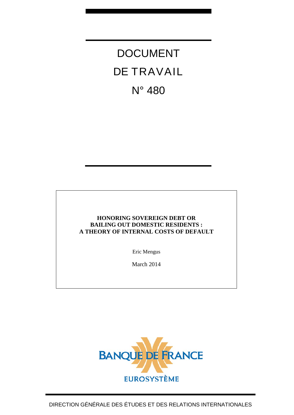DOCUMENT DE TRAVAIL N° 480

### **HONORING SOVEREIGN DEBT OR BAILING OUT DOMESTIC RESIDENTS : A THEORY OF INTERNAL COSTS OF DEFAULT**

Eric Mengus

March 2014

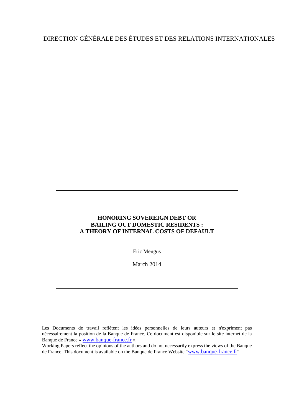# DIRECTION GÉNÉRALE DES ÉTUDES ET DES RELATIONS INTERNATIONALES

### **HONORING SOVEREIGN DEBT OR BAILING OUT DOMESTIC RESIDENTS : A THEORY OF INTERNAL COSTS OF DEFAULT**

Eric Mengus

March 2014

Les Documents de travail reflètent les idées personnelles de leurs auteurs et n'expriment pas nécessairement la position de la Banque de France. Ce document est disponible sur le site internet de la Banque de France « [www.banque-france.fr](http://www.banque-france.fr/) ».

Working Papers reflect the opinions of the authors and do not necessarily express the views of the Banque de France. This document is available on the Banque de France Website ["www.banque-france.fr"](http://www.banque-france.fr/).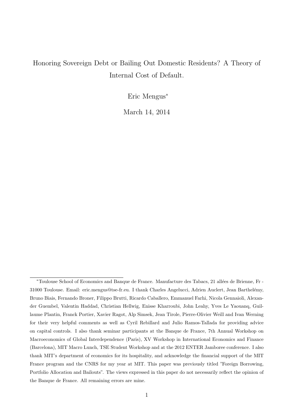# Honoring Sovereign Debt or Bailing Out Domestic Residents? A Theory of Internal Cost of Default.

Eric Mengus<sup>∗</sup>

March 14, 2014

<sup>\*</sup>Toulouse School of Economics and Banque de France. Manufacture des Tabacs, 21 allées de Brienne, Fr -31000 Toulouse. Email: eric.mengus@tse-fr.eu. I thank Charles Angelucci, Adrien Auclert, Jean Barthelémy, Bruno Biais, Fernando Broner, Filippo Brutti, Ricardo Caballero, Emmanuel Farhi, Nicola Gennaioli, Alexander Guembel, Valentin Haddad, Christian Hellwig, Enisse Kharroubi, John Leahy, Yves Le Yaouanq, Guillaume Plantin, Franck Portier, Xavier Ragot, Alp Simsek, Jean Tirole, Pierre-Olivier Weill and Ivan Werning for their very helpful comments as well as Cyril Rebillard and Julio Ramos-Tallada for providing advice on capital controls. I also thank seminar participants at the Banque de France, 7th Annual Workshop on Macroeconomics of Global Interdependence (Paris), XV Workshop in International Economics and Finance (Barcelona), MIT Macro Lunch, TSE Student Workshop and at the 2012 ENTER Jamboree conference. I also thank MIT's department of economics for its hospitality, and acknowledge the financial support of the MIT France program and the CNRS for my year at MIT. This paper was previously titled "Foreign Borrowing, Portfolio Allocation and Bailouts". The views expressed in this paper do not necessarily reflect the opinion of the Banque de France. All remaining errors are mine.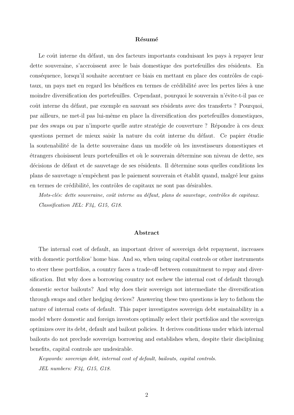#### Résumé

Le coût interne du défaut, un des facteurs importants conduisant les pays à repayer leur dette souveraine, s'accroissent avec le bais domestique des portefeuilles des résidents. En conséquence, lorsqu'il souhaite accentuer ce biais en mettant en place des contrôles de capitaux, un pays met en regard les bénéfices en termes de crédibilité avec les pertes liées à une moindre diversification des portefeuilles. Cependant, pourquoi le souverain n'évite-t-il pas ce coût interne du défaut, par exemple en sauvant ses résidents avec des transferts ? Pourquoi, par ailleurs, ne met-il pas lui-même en place la diversification des portefeuilles domestiques, par des swaps ou par n'importe quelle autre stratégie de couverture ? Répondre à ces deux questions permet de mieux saisir la nature du coût interne du défaut. Ce papier étudie la soutenabilité de la dette souveraine dans un modèle où les investisseurs domestiques et ´etrangers choisissent leurs portefeuilles et o`u le souverain d´etermine son niveau de dette, ses décisions de défaut et de sauvetage de ses résidents. Il détermine sous quelles conditions les plans de sauvetage n'empêchent pas le paiement souverain et établit quand, malgré leur gains en termes de crédibilité, les contrôles de capitaux ne sont pas désirables.

Mots-clés: dette souveraine, coût interne au défaut, plans de sauvetage, contrôles de capitaux. Classification JEL: F34, G15, G18.

#### Abstract

The internal cost of default, an important driver of sovereign debt repayment, increases with domestic portfolios' home bias. And so, when using capital controls or other instruments to steer these portfolios, a country faces a trade-off between commitment to repay and diversification. But why does a borrowing country not eschew the internal cost of default through domestic sector bailouts? And why does their sovereign not intermediate the diversification through swaps and other hedging devices? Answering these two questions is key to fathom the nature of internal costs of default. This paper investigates sovereign debt sustainability in a model where domestic and foreign investors optimally select their portfolios and the sovereign optimizes over its debt, default and bailout policies. It derives conditions under which internal bailouts do not preclude sovereign borrowing and establishes when, despite their disciplining benefits, capital controls are undesirable.

Keywords: sovereign debt, internal cost of default, bailouts, capital controls. JEL numbers: F34, G15, G18.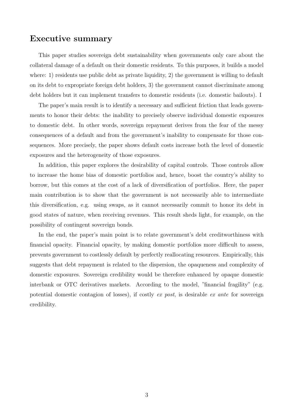## Executive summary

This paper studies sovereign debt sustainability when governments only care about the collateral damage of a default on their domestic residents. To this purposes, it builds a model where: 1) residents use public debt as private liquidity, 2) the government is willing to default on its debt to expropriate foreign debt holders, 3) the government cannot discriminate among debt holders but it can implement transfers to domestic residents (i.e. domestic bailouts). I

The paper's main result is to identify a necessary and sufficient friction that leads governments to honor their debts: the inability to precisely observe individual domestic exposures to domestic debt. In other words, sovereign repayment derives from the fear of the messy consequences of a default and from the government's inability to compensate for those consequences. More precisely, the paper shows default costs increase both the level of domestic exposures and the heterogeneity of those exposures.

In addition, this paper explores the desirability of capital controls. Those controls allow to increase the home bias of domestic portfolios and, hence, boost the country's ability to borrow, but this comes at the cost of a lack of diversification of portfolios. Here, the paper main contribution is to show that the government is not necessarily able to intermediate this diversification, e.g. using swaps, as it cannot necessarily commit to honor its debt in good states of nature, when receiving revenues. This result sheds light, for example, on the possibility of contingent sovereign bonds.

In the end, the paper's main point is to relate government's debt creditworthiness with financial opacity. Financial opacity, by making domestic portfolios more difficult to assess, prevents government to costlessly default by perfectly reallocating resources. Empirically, this suggests that debt repayment is related to the dispersion, the opaqueness and complexity of domestic exposures. Sovereign credibility would be therefore enhanced by opaque domestic interbank or OTC derivatives markets. According to the model, "financial fragility" (e.g. potential domestic contagion of losses), if costly ex post, is desirable ex ante for sovereign credibility.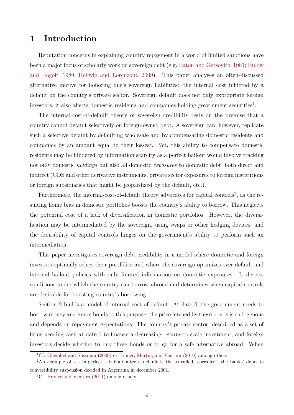## 1 Introduction

Reputation concerns in explaining country repayment in a world of limited sanctions have been a major focus of scholarly work on sovereign debt (e.g. [Eaton and Gersovitz,](#page-48-0) [1981;](#page-48-0) [Bulow](#page-47-0) [and Rogoff,](#page-47-0) [1989;](#page-47-0) [Hellwig and Lorenzoni,](#page-48-1) [2009\)](#page-48-1). This paper analyses an often-discussed alternative motive for honoring one's sovereign liabilities: the internal cost inflicted by a default on the country's private sector. Sovereign default does not only expropriate foreign investors, it also affects domestic residents and companies holding government securities<sup>[1](#page-5-0)</sup>.

The internal-cost-of-default theory of sovereign credibility rests on the premise that a country cannot default selectively on foreign-owned debt. A sovereign can, however, replicate such a selective default by defaulting wholesale and by compensating domestic residents and companies by an amount equal to their losses<sup>[2](#page-5-1)</sup>. Yet, this ability to compensate domestic residents may be hindered by information scarcity as a perfect bailout would involve tracking not only domestic holdings but also all domestic exposures to domestic debt, both direct and indirect (CDS and other derivative instruments, private sector exposures to foreign institutions or foreign subsidiaries that might be jeopardized by the default, etc.).

Furthermore, the internal-cost-of-default theory advocates for capital controls<sup>[3](#page-5-2)</sup>, as the resulting home bias in domestic portfolios boosts the country's ability to borrow. This neglects the potential cost of a lack of diversification in domestic portfolios. However, the diversification may be intermediated by the sovereign, using swaps or other hedging devices, and the desirability of capital controls hinges on the government's ability to perform such an intermediation.

This paper investigates sovereign debt credibility in a model where domestic and foreign investors optimally select their portfolios and where the sovereign optimizes over default and internal bailout policies with only limited information on domestic exposures. It derives conditions under which the country can borrow abroad and determines when capital controls are desirable for boosting country's borrowing.

Section [2](#page-8-0) builds a model of internal cost of default. At date 0, the government needs to borrow money and issues bonds to this purpose; the price fetched by these bonds is endogenous and depends on repayment expectations. The country's private sector, described as a set of firms needing cash at date 1 to finance a decreasing-returns-to-scale investment, and foreign investors decide whether to buy these bonds or to go for a safe alternative abroad. When

<span id="page-5-1"></span><span id="page-5-0"></span><sup>1</sup>Cf. [Guembel and Sussman](#page-48-2) [\(2009\)](#page-48-2) or [Broner, Martin, and Ventura](#page-47-1) [\(2010\)](#page-47-1) among others.

<sup>2</sup>An example of a - imperfect - bailout after a default is the so-called "corralito", the banks' deposits convertibility suspension decided in Argentina in december 2001.

<span id="page-5-2"></span><sup>&</sup>lt;sup>3</sup>Cf. [Broner and Ventura](#page-47-2) [\(2011\)](#page-47-2) among others.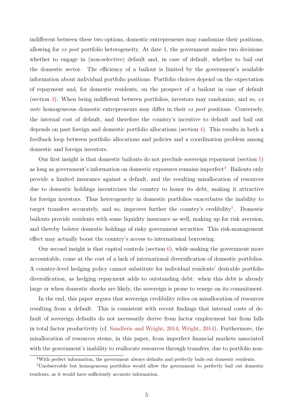indifferent between these two options, domestic entrepreneurs may randomize their positions, allowing for ex post portfolio heterogeneity. At date 1, the government makes two decisions: whether to engage in (non-selective) default and, in case of default, whether to bail out the domestic sector. The efficiency of a bailout is limited by the government's available information about individual portfolio positions. Portfolio choices depend on the expectation of repayment and, for domestic residents, on the prospect of a bailout in case of default (section [3\)](#page-11-0). When being indifferent between portfolios, investors may randomize, and so, ex ante homogeneous domestic entrepreneurs may differ in their ex post positions. Conversely, the internal cost of default, and therefore the country's incentive to default and bail out depends on past foreign and domestic portfolio allocations (section [4\)](#page-13-0). This results in both a feedback loop between portfolio allocations and policies and a coordination problem among domestic and foreign investors.

Our first insight is that domestic bailouts do not preclude sovereign repayment (section [5\)](#page-16-0) as long as government's information on domestic exposures remains imperfect<sup>[4](#page-6-0)</sup>. Bailouts only provide a limited insurance against a default, and the resulting misallocation of resources due to domestic holdings incentivizes the country to honor its debt, making it attractive for foreign investors. Thus heterogeneity in domestic portfolios exacerbates the inability to target transfers accurately, and so, improves further the country's credibility<sup>[5](#page-6-1)</sup>. Domestic bailouts provide residents with some liquidity insurance as well, making up for risk aversion, and thereby bolster domestic holdings of risky government securities. This risk-management effect may actually boost the country's access to international borrowing.

Our second insight is that capital controls (section  $6$ ), while making the government more accountable, come at the cost of a lack of international diversification of domestic portfolios. A country-level hedging policy cannot substitute for individual residents' desirable portfolio diversification, as hedging repayment adds to outstanding debt: when this debt is already large or when domestic shocks are likely, the sovereign is prone to renege on its commitment.

In the end, this paper argues that sovereign credibility relies on misallocation of resources resulting from a default. This is consistent with recent findings that internal costs of default of sovereign defaults do not necessarily derive from factor employment but from falls in total factor productivity (cf. [Sandleris and Wright,](#page-49-0) [2014;](#page-49-0) [Wright,](#page-50-0) [2014\)](#page-50-0). Furthermore, the misallocation of resources stems, in this paper, from imperfect financial markets associated with the government's inability to reallocate resources through transfers, due to portfolio non-

<span id="page-6-1"></span><span id="page-6-0"></span><sup>4</sup>With perfect information, the government always defaults and perfectly bails out domestic residents.

<sup>5</sup>Unobservable but homogeneous portfolios would allow the government to perfectly bail out domestic residents, as it would have sufficiently accurate information.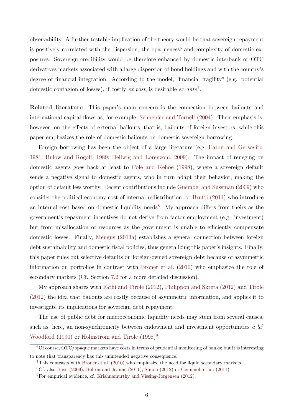observability. A further testable implication of the theory would be that sovereign repayment is positively correlated with the dispersion, the opaqueness<sup>[6](#page-7-0)</sup> and complexity of domestic exposures. Sovereign credibility would be therefore enhanced by domestic interbank or OTC derivatives markets associated with a large dispersion of bond holdings and with the country's degree of financial integration. According to the model, "financial fragility" (e.g. potential domestic contagion of losses), if costly ex post, is desirable ex ante<sup>[7](#page-7-1)</sup>.

Related literature This paper's main concern is the connection between bailouts and international capital flows as, for example, [Schneider and Tornell](#page-49-1) [\(2004\)](#page-49-1). Their emphasis is, however, on the effects of external bailouts, that is, bailouts of foreign investors, while this paper emphasizes the role of domestic bailouts on domestic sovereign borrowing.

Foreign borrowing has been the object of a large literature (e.g. [Eaton and Gersovitz,](#page-48-0) [1981;](#page-48-0) [Bulow and Rogoff,](#page-47-0) [1989;](#page-47-0) [Hellwig and Lorenzoni,](#page-48-1) [2009\)](#page-48-1). The impact of reneging on domestic agents goes back at least to [Cole and Kehoe](#page-48-3) [\(1998\)](#page-48-3), where a sovereign default sends a negative signal to domestic agents, who in turn adapt their behavior, making the option of default less worthy. Recent contributions include [Guembel and Sussman](#page-48-2) [\(2009\)](#page-48-2) who consider the political economy cost of internal redistribution, or [Brutti](#page-47-3) [\(2011\)](#page-47-3) who introduce an internal cost based on domestic liquidity needs<sup>[8](#page-7-2)</sup>. My approach differs from theirs as the government's repayment incentives do not derive from factor employment (e.g. investment) but from misallocation of resources as the government is unable to efficiently compensate domestic losses. Finally, [Mengus](#page-49-2) [\(2013a\)](#page-49-2) establishes a general connection between foreign debt sustainability and domestic fiscal policies, thus generalizing this paper's insights. Finally, this paper rules out selective defaults on foreign-owned sovereign debt because of asymmetric information on portfolios in contrast with [Broner et al.](#page-47-1) [\(2010\)](#page-47-1) who emphasize the role of secondary markets (Cf. Section [7.2](#page-30-0) for a more detailed discussion).

My approach shares with [Farhi and Tirole](#page-48-4) [\(2012\)](#page-48-4), [Philippon and Skreta](#page-49-3) [\(2012\)](#page-49-3) and [Tirole](#page-50-1) [\(2012\)](#page-50-1) the idea that bailouts are costly because of asymmetric information, and applies it to investigate its implications for sovereign debt repayment.

The use of public debt for macroeconomic liquidity needs may stem from several causes, such as, here, an non-synchronicity between endowment and investment opportunities  $\dot{a}$  la] [Woodford](#page-50-2) [\(1990\)](#page-50-2) or [Holmstrom and Tirole](#page-48-5) [\(1998\)](#page-48-5)<sup>[9](#page-7-3)</sup>.

<span id="page-7-0"></span><sup>6</sup>Of course, OTC/opaque markets have costs in terms of prudential monitoring of banks; but it is interesting to note that transparency has this unintended negative consequence.

<span id="page-7-2"></span><span id="page-7-1"></span><sup>7</sup>This contrasts with [Broner et al.](#page-47-1) [\(2010\)](#page-47-1) who emphasize the need for liquid secondary markets.

<span id="page-7-3"></span><sup>8</sup>Cf. also [Basu](#page-47-4) [\(2009\)](#page-47-4), [Bolton and Jeanne](#page-47-5) [\(2011\)](#page-47-5), [Simon](#page-49-4) [\(2012\)](#page-49-4) or [Gennaioli et al.](#page-48-6) [\(2011\)](#page-48-6).

<sup>9</sup>For empirical evidence, cf. [Krishnamurthy and Vissing-Jorgensen](#page-49-5) [\(2012\)](#page-49-5).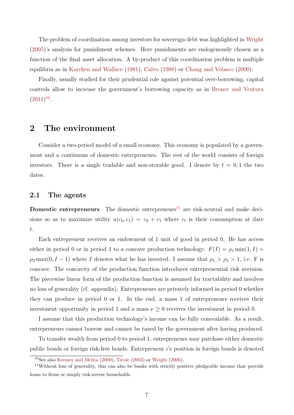The problem of coordination among investors for sovereign debt was highlighted in [Wright](#page-50-3) [\(2005\)](#page-50-3)'s analysis for punishment schemes. Here punishments are endogenously chosen as a function of the final asset allocation. A by-product of this coordination problem is multiple equilibria as in [Kareken and Wallace](#page-48-7) [\(1981\)](#page-48-7), [Calvo](#page-47-6) [\(1988\)](#page-47-6) or [Chang and Velasco](#page-47-7) [\(2000\)](#page-47-7).

Finally, usually studied for their prudential role against potential over-borrowing, capital controls allow to increase the government's borrowing capacity as in [Broner and Ventura](#page-47-2)  $(2011)^{10}$  $(2011)^{10}$  $(2011)^{10}$  $(2011)^{10}$ .

## <span id="page-8-0"></span>2 The environment

Consider a two-period model of a small economy. This economy is populated by a government and a continuum of domestic entrepreneurs. The rest of the world consists of foreign investors. There is a single tradable and non-storable good. I denote by  $t = 0, 1$  the two dates.

#### 2.1 The agents

**Domestic entrepreneurs** The domestic entrepreneurs<sup>[11](#page-8-2)</sup> are risk-neutral and make decisions so as to maximize utility  $u(c_0, c_1) = c_0 + c_1$  where  $c_t$  is their consumption at date t.

Each entrepreneur receives an endowment of 1 unit of good in period 0. He has access either in period 0 or in period 1 to a concave production technology:  $F(I) = \rho_1 \min(1, I) +$  $\rho_2$  max(0, I – 1) where I denotes what he has invested. I assume that  $\rho_1 > \rho_2 > 1$ , i.e. F is concave. The concavity of the production function introduces entrepreneurial risk aversion. The piecewise linear form of the production function is assumed for tractability and involves no loss of generality (cf. appendix). Entrepreneurs are privately informed in period 0 whether they can produce in period 0 or 1. In the end, a mass 1 of entrepreneurs receives their investment opportunity in period 1 and a mass  $\nu \geq 0$  receives the investment in period 0.

I assume that this production technology's income can be fully concealable. As a result, entrepreneurs cannot borrow and cannot be taxed by the government after having produced.

To transfer wealth from period 0 to period 1, entrepreneurs may purchase either domestic public bonds or foreign risk-free bonds. Entrepreneur i's position in foreign bonds is denoted

<span id="page-8-2"></span><span id="page-8-1"></span> $10$ See also [Kremer and Mehta](#page-49-6) [\(2000\)](#page-49-6), [Tirole](#page-50-4) [\(2003\)](#page-50-4) or [Wright](#page-50-5) [\(2006\)](#page-50-5).

<sup>11</sup>Without loss of generality, this can also be banks with strictly positive pledgeable income that provide loans to firms or simply risk-averse households.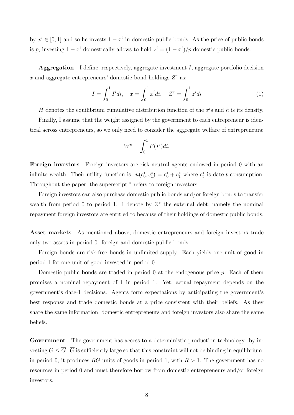by  $x^i \in [0, 1]$  and so he invests  $1 - x^i$  in domestic public bonds. As the price of public bonds is p, investing  $1 - x^i$  domestically allows to hold  $z^i = (1 - x^i)/p$  domestic public bonds.

**Aggregation** I define, respectively, aggregate investment I, aggregate portfolio decision x and aggregate entrepreneurs' domestic bond holdings  $Z^e$  as:

$$
I = \int_0^1 I^i di, \quad x = \int_0^1 x^i di, \quad Z^e = \int_0^1 z^i di \tag{1}
$$

H denotes the equilibrium cumulative distribution function of the  $x^i$ s and h is its density. Finally, I assume that the weight assigned by the government to each entrepreneur is identical across entrepreneurs, so we only need to consider the aggregate welfare of entrepreneurs:

$$
W^e = \int_0^1 F(I^i)di.
$$

Foreign investors Foreign investors are risk-neutral agents endowed in period 0 with an infinite wealth. Their utility function is:  $u(c_0^*, c_1^*) = c_0^* + c_1^*$  where  $c_t^*$  is date-t consumption. Throughout the paper, the superscript  $*$  refers to foreign investors.

Foreign investors can also purchase domestic public bonds and/or foreign bonds to transfer wealth from period 0 to period 1. I denote by  $Z^*$  the external debt, namely the nominal repayment foreign investors are entitled to because of their holdings of domestic public bonds.

Asset markets As mentioned above, domestic entrepreneurs and foreign investors trade only two assets in period 0: foreign and domestic public bonds.

Foreign bonds are risk-free bonds in unlimited supply. Each yields one unit of good in period 1 for one unit of good invested in period 0.

Domestic public bonds are traded in period 0 at the endogenous price p. Each of them promises a nominal repayment of 1 in period 1. Yet, actual repayment depends on the government's date-1 decisions. Agents form expectations by anticipating the government's best response and trade domestic bonds at a price consistent with their beliefs. As they share the same information, domestic entrepreneurs and foreign investors also share the same beliefs.

Government The government has access to a deterministic production technology: by investing  $G \leq \overline{G}$ .  $\overline{G}$  is sufficiently large so that this constraint will not be binding in equilibrium. in period 0, it produces RG units of goods in period 1, with  $R > 1$ . The government has no resources in period 0 and must therefore borrow from domestic entrepreneurs and/or foreign investors.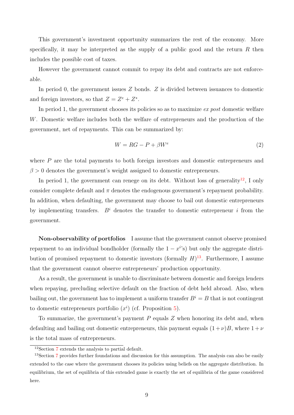This government's investment opportunity summarizes the rest of the economy. More specifically, it may be interpreted as the supply of a public good and the return  $R$  then includes the possible cost of taxes.

However the government cannot commit to repay its debt and contracts are not enforceable.

In period 0, the government issues  $Z$  bonds.  $Z$  is divided between issuances to domestic and foreign investors, so that  $Z = Z^e + Z^*$ .

In period 1, the government chooses its policies so as to maximize ex post domestic welfare W. Domestic welfare includes both the welfare of entrepreneurs and the production of the government, net of repayments. This can be summarized by:

$$
W = RG - P + \beta W^e \tag{2}
$$

where P are the total payments to both foreign investors and domestic entrepreneurs and  $\beta > 0$  denotes the government's weight assigned to domestic entrepreneurs.

In period 1, the government can renege on its debt. Without loss of generality<sup>[12](#page-10-0)</sup>, I only consider complete default and  $\pi$  denotes the endogenous government's repayment probability. In addition, when defaulting, the government may choose to bail out domestic entrepreneurs by implementing transfers.  $B<sup>i</sup>$  denotes the transfer to domestic entrepreneur i from the government.

Non-observability of portfolios I assume that the government cannot observe promised repayment to an individual bondholder (formally the  $1 - x^{i}$ s) but only the aggregate distribution of promised repayment to domestic investors (formally  $H$ )<sup>[13](#page-10-1)</sup>. Furthermore, I assume that the government cannot observe entrepreneurs' production opportunity.

As a result, the government is unable to discriminate between domestic and foreign lenders when repaying, precluding selective default on the fraction of debt held abroad. Also, when bailing out, the government has to implement a uniform transfer  $B^i = B$  that is not contingent to domestic entrepreneurs portfolio  $(x^{i})$  (cf. Proposition [5\)](#page-29-0).

To summarize, the government's payment  $P$  equals  $Z$  when honoring its debt and, when defaulting and bailing out domestic entrepreneurs, this payment equals  $(1 + \nu)B$ , where  $1 + \nu$ is the total mass of entrepreneurs.

<span id="page-10-1"></span><span id="page-10-0"></span> $12$ Section [7](#page-28-0) extends the analysis to partial default.

<sup>&</sup>lt;sup>13</sup>Section [7](#page-28-0) provides further foundations and discussion for this assumption. The analysis can also be easily extended to the case where the government chooses its policies using beliefs on the aggregate distribution. In equilibrium, the set of equilibria of this extended game is exactly the set of equilibria of the game considered here.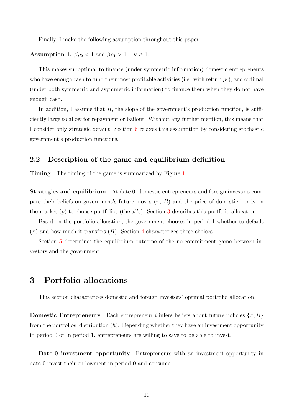Finally, I make the following assumption throughout this paper:

# <span id="page-11-1"></span>Assumption 1.  $\beta \rho_2 < 1$  and  $\beta \rho_1 > 1 + \nu \ge 1$ .

This makes suboptimal to finance (under symmetric information) domestic entrepreneurs who have enough cash to fund their most profitable activities (i.e. with return  $\rho_1$ ), and optimal (under both symmetric and asymmetric information) to finance them when they do not have enough cash.

In addition, I assume that  $R$ , the slope of the government's production function, is sufficiently large to allow for repayment or bailout. Without any further mention, this means that I consider only strategic default. Section [6](#page-24-0) relaxes this assumption by considering stochastic government's production functions.

### 2.2 Description of the game and equilibrium definition

**Timing** The timing of the game is summarized by Figure [1.](#page-51-0)

Strategies and equilibrium At date 0, domestic entrepreneurs and foreign investors compare their beliefs on government's future moves  $(\pi, B)$  and the price of domestic bonds on the market  $(p)$  to choose portfolios (the  $x^{i}$ s). Section [3](#page-11-0) describes this portfolio allocation.

Based on the portfolio allocation, the government chooses in period 1 whether to default  $(\pi)$  and how much it transfers  $(B)$ . Section [4](#page-13-0) characterizes these choices.

Section [5](#page-16-0) determines the equilibrium outcome of the no-commitment game between investors and the government.

## <span id="page-11-0"></span>3 Portfolio allocations

This section characterizes domestic and foreign investors' optimal portfolio allocation.

**Domestic Entrepreneurs** Each entrepreneur *i* infers beliefs about future policies  $\{\pi, B\}$ from the portfolios' distribution  $(h)$ . Depending whether they have an investment opportunity in period 0 or in period 1, entrepreneurs are willing to save to be able to invest.

Date-0 investment opportunity Entrepreneurs with an investment opportunity in date-0 invest their endowment in period 0 and consume.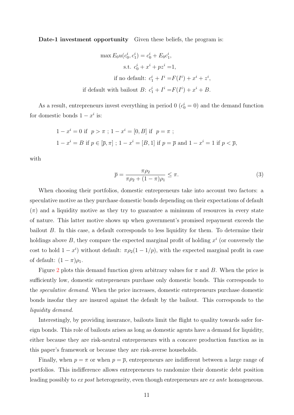Date-1 investment opportunity Given these beliefs, the program is:

$$
\max E_0 u(c_0^i, c_1^i) = c_0^i + E_0 c_1^i,
$$
  
s.t.  $c_0^i + x^i + pz^i = 1$ ,  
if no default:  $c_1^i + I^i = F(I^i) + x^i + z^i$ ,  
if default with bailout  $B: c_1^i + I^i = F(I^i) + x^i + B$ .

As a result, entrepreneurs invest everything in period 0 ( $c_0^i = 0$ ) and the demand function for domestic bonds  $1 - x^i$  is:

$$
1 - x^{i} = 0 \text{ if } p > \pi; 1 - x^{i} = [0, B] \text{ if } p = \pi;
$$
  

$$
1 - x^{i} = B \text{ if } p \in [\overline{p}, \pi]; 1 - x^{i} = [B, 1] \text{ if } p = \overline{p} \text{ and } 1 - x^{i} = 1 \text{ if } p < \overline{p},
$$

with

$$
\overline{p} = \frac{\pi \rho_2}{\pi \rho_2 + (1 - \pi)\rho_1} \le \pi.
$$
\n(3)

When choosing their portfolios, domestic entrepreneurs take into account two factors: a speculative motive as they purchase domestic bonds depending on their expectations of default  $(\pi)$  and a liquidity motive as they try to guarantee a minimum of resources in every state of nature. This latter motive shows up when government's promised repayment exceeds the bailout B. In this case, a default corresponds to less liquidity for them. To determine their holdings above  $B$ , they compare the expected marginal profit of holding  $x^i$  (or conversely the cost to hold  $1 - x^i$ ) without default:  $\pi \rho_2(1 - 1/p)$ , with the expected marginal profit in case of default:  $(1 - \pi)\rho_1$ .

Figure [2](#page-52-0) plots this demand function given arbitrary values for  $\pi$  and B. When the price is sufficiently low, domestic entrepreneurs purchase only domestic bonds. This corresponds to the speculative demand. When the price increases, domestic entrepreneurs purchase domestic bonds insofar they are insured against the default by the bailout. This corresponds to the liquidity demand.

Interestingly, by providing insurance, bailouts limit the flight to quality towards safer foreign bonds. This role of bailouts arises as long as domestic agents have a demand for liquidity, either because they are risk-neutral entrepreneurs with a concave production function as in this paper's framework or because they are risk-averse households.

Finally, when  $p = \pi$  or when  $p = \bar{p}$ , entrepreneurs are indifferent between a large range of portfolios. This indifference allows entrepreneurs to randomize their domestic debt position leading possibly to ex post heterogeneity, even though entrepreneurs are ex ante homogeneous.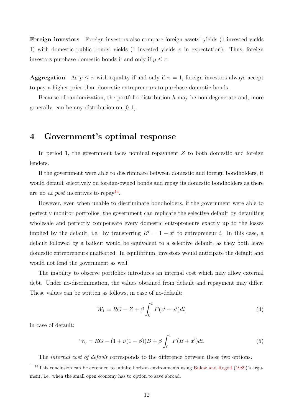Foreign investors Foreign investors also compare foreign assets' yields (1 invested yields 1) with domestic public bonds' yields (1 invested yields  $\pi$  in expectation). Thus, foreign investors purchase domestic bonds if and only if  $p \leq \pi$ .

**Aggregation** As  $\bar{p} \leq \pi$  with equality if and only if  $\pi = 1$ , foreign investors always accept to pay a higher price than domestic entrepreneurs to purchase domestic bonds.

Because of randomization, the portfolio distribution  $h$  may be non-degenerate and, more generally, can be any distribution on [0, 1].

## <span id="page-13-0"></span>4 Government's optimal response

In period 1, the government faces nominal repayment  $Z$  to both domestic and foreign lenders.

If the government were able to discriminate between domestic and foreign bondholders, it would default selectively on foreign-owned bonds and repay its domestic bondholders as there are no ex post incentives to repay<sup>[14](#page-13-1)</sup>.

However, even when unable to discriminate bondholders, if the government were able to perfectly monitor portfolios, the government can replicate the selective default by defaulting wholesale and perfectly compensate every domestic entrepreneurs exactly up to the losses implied by the default, i.e. by transferring  $B^i = 1 - x^i$  to entrepreneur *i*. In this case, a default followed by a bailout would be equivalent to a selective default, as they both leave domestic entrepreneurs unaffected. In equilibrium, investors would anticipate the default and would not lend the government as well.

The inability to observe portfolios introduces an internal cost which may allow external debt. Under no-discrimination, the values obtained from default and repayment may differ. These values can be written as follows, in case of no-default:

$$
W_1 = RG - Z + \beta \int_0^1 F(z^i + x^i)di,
$$
\n(4)

in case of default:

$$
W_0 = RG - (1 + \nu(1 - \beta))B + \beta \int_0^1 F(B + x^i)di.
$$
 (5)

<span id="page-13-1"></span>The *internal cost of default* corresponds to the difference between these two options.

<sup>&</sup>lt;sup>14</sup>This conclusion can be extended to infinite horizon environments using [Bulow and Rogoff](#page-47-0) [\(1989\)](#page-47-0)'s argument, i.e. when the small open economy has to option to save abroad.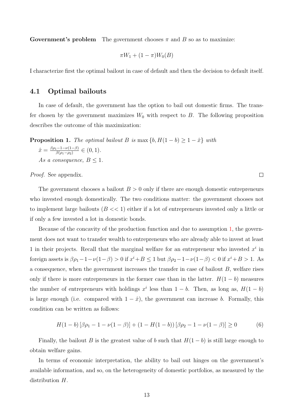**Government's problem** The government chooses  $\pi$  and B so as to maximize:

$$
\pi W_1 + (1-\pi)W_0(B)
$$

I characterize first the optimal bailout in case of default and then the decision to default itself.

#### 4.1 Optimal bailouts

In case of default, the government has the option to bail out domestic firms. The transfer chosen by the government maximizes  $W_0$  with respect to  $B$ . The following proposition describes the outcome of this maximization:

<span id="page-14-0"></span>**Proposition 1.** The optimal bailout B is max  $\{b, H(1 - b) \ge 1 - \hat{x}\}\$  with  $\hat{x} = \frac{\beta \rho_1 - 1 - \nu(1-\beta)}{\beta(\rho_1 - \rho_2)}$  $\frac{(-1-\nu(1-\beta))}{\beta(\rho_1-\rho_2)} \in (0,1).$ As a consequence,  $B \leq 1$ .

Proof. See appendix.

The government chooses a bailout  $B > 0$  only if there are enough domestic entrepreneurs who invested enough domestically. The two conditions matter: the government chooses not to implement large bailouts  $(B \ll 1)$  either if a lot of entrepreneurs invested only a little or if only a few invested a lot in domestic bonds.

Because of the concavity of the production function and due to assumption [1,](#page-11-1) the government does not want to transfer wealth to entrepreneurs who are already able to invest at least 1 in their projects. Recall that the marginal welfare for an entrepreneur who invested  $x^i$  in foreign assets is  $\beta \rho_1 - 1 - \nu(1 - \beta) > 0$  if  $x^i + B \le 1$  but  $\beta \rho_2 - 1 - \nu(1 - \beta) < 0$  if  $x^i + B > 1$ . As a consequence, when the government increases the transfer in case of bailout B, welfare rises only if there is more entrepreneurs in the former case than in the latter.  $H(1-b)$  measures the number of entrepreneurs with holdings  $x^i$  less than  $1 - b$ . Then, as long as,  $H(1 - b)$ is large enough (i.e. compared with  $1 - \hat{x}$ ), the government can increase b. Formally, this condition can be written as follows:

$$
H(1-b) [\beta \rho_1 - 1 - \nu (1 - \beta)] + (1 - H(1 - b)) [\beta \rho_2 - 1 - \nu (1 - \beta)] \ge 0
$$
 (6)

Finally, the bailout B is the greatest value of b such that  $H(1-b)$  is still large enough to obtain welfare gains.

In terms of economic interpretation, the ability to bail out hinges on the government's available information, and so, on the heterogeneity of domestic portfolios, as measured by the distribution H.

 $\Box$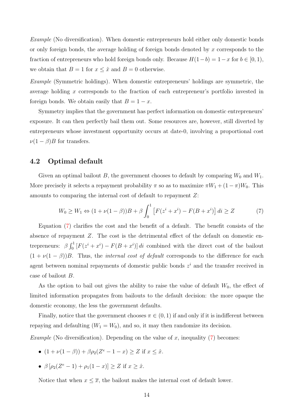Example (No diversification). When domestic entrepreneurs hold either only domestic bonds or only foreign bonds, the average holding of foreign bonds denoted by x corresponds to the fraction of entrepreneurs who hold foreign bonds only. Because  $H(1-b) = 1-x$  for  $b \in [0,1)$ , we obtain that  $B = 1$  for  $x \leq \hat{x}$  and  $B = 0$  otherwise.

Example (Symmetric holdings). When domestic entrepreneurs' holdings are symmetric, the average holding x corresponds to the fraction of each entrepreneur's portfolio invested in foreign bonds. We obtain easily that  $B = 1 - x$ .

Symmetry implies that the government has perfect information on domestic entrepreneurs' exposure. It can then perfectly bail them out. Some resources are, however, still diverted by entrepreneurs whose investment opportunity occurs at date-0, involving a proportional cost  $\nu(1-\beta)B$  for transfers.

#### 4.2 Optimal default

Given an optimal bailout B, the government chooses to default by comparing  $W_0$  and  $W_1$ . More precisely it selects a repayment probability  $\pi$  so as to maximize  $\pi W_1 + (1 - \pi)W_0$ . This amounts to comparing the internal cost of default to repayment Z:

<span id="page-15-0"></span>
$$
W_0 \ge W_1 \Leftrightarrow (1 + \nu(1 - \beta))B + \beta \int_0^1 \left[ F(z^i + x^i) - F(B + x^i) \right] di \ge Z \tag{7}
$$

Equation [\(7\)](#page-15-0) clarifies the cost and the benefit of a default. The benefit consists of the absence of repayment Z. The cost is the detrimental effect of the default on domestic entrepreneurs:  $\beta \int_0^1 [F(z^i + x^i) - F(B + x^i)] dt$  combined with the direct cost of the bailout  $(1 + \nu(1 - \beta))B$ . Thus, the *internal cost of default* corresponds to the difference for each agent between nominal repayments of domestic public bonds  $z<sup>i</sup>$  and the transfer received in case of bailout B.

As the option to bail out gives the ability to raise the value of default  $W_0$ , the effect of limited information propagates from bailouts to the default decision: the more opaque the domestic economy, the less the government defaults.

Finally, notice that the government chooses  $\pi \in (0,1)$  if and only if it is indifferent between repaying and defaulting  $(W_1 = W_0)$ , and so, it may then randomize its decision.

*Example* (No diversification). Depending on the value of x, inequality [\(7\)](#page-15-0) becomes:

- $(1 + \nu(1 \beta)) + \beta \rho_2(Z^e 1 x) \ge Z$  if  $x \le \hat{x}$ .
- $\beta \left[ \rho_2 (Z^e 1) + \rho_1 (1 x) \right] \ge Z$  if  $x \ge \hat{x}$ .

Notice that when  $x \leq \overline{x}$ , the bailout makes the internal cost of default lower.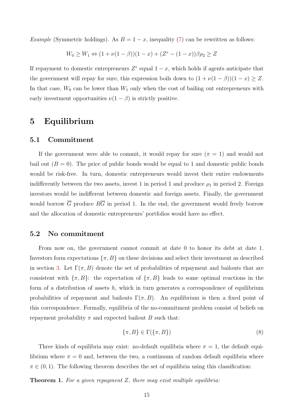*Example* (Symmetric holdings). As  $B = 1 - x$ , inequality [\(7\)](#page-15-0) can be rewritten as follows:

$$
W_0 \ge W_1 \Leftrightarrow (1 + \nu(1 - \beta))(1 - x) + (Z^e - (1 - x))\beta \rho_2 \ge Z
$$

If repayment to domestic entrepreneurs  $Z^e$  equal  $1-x$ , which holds if agents anticipate that the government will repay for sure, this expression boils down to  $(1 + \nu(1 - \beta))(1 - x) \geq Z$ . In that case,  $W_0$  can be lower than  $W_1$  only when the cost of bailing out entrepreneurs with early investment opportunities  $\nu(1-\beta)$  is strictly positive.

## <span id="page-16-0"></span>5 Equilibrium

#### 5.1 Commitment

If the government were able to commit, it would repay for sure  $(\pi = 1)$  and would not bail out  $(B = 0)$ . The price of public bonds would be equal to 1 and domestic public bonds would be risk-free. In turn, domestic entrepreneurs would invest their entire endowments indifferently between the two assets, invest 1 in period 1 and produce  $\rho_1$  in period 2. Foreign investors would be indifferent between domestic and foreign assets. Finally, the government would borrow  $\overline{G}$  produce  $R\overline{G}$  in period 1. In the end, the government would freely borrow and the allocation of domestic entrepreneurs' portfolios would have no effect.

#### 5.2 No commitment

From now on, the government cannot commit at date 0 to honor its debt at date 1. Investors form expectations  $\{\pi, B\}$  on these decisions and select their investment as described in section [3.](#page-11-0) Let  $\Gamma(\pi, B)$  denote the set of probabilities of repayment and bailouts that are consistent with  $\{\pi, B\}$ : the expectation of  $\{\pi, B\}$  leads to some optimal reactions in the form of a distribution of assets  $h$ , which in turn generates a correspondence of equilibrium probabilities of repayment and bailouts  $\Gamma(\pi, B)$ . An equilibrium is then a fixed point of this correspondence. Formally, equilibria of the no-commitment problem consist of beliefs on repayment probability  $\pi$  and expected bailout B such that:

$$
\{\pi, B\} \in \Gamma(\{\pi, B\})\tag{8}
$$

Three kinds of equilibria may exist: no-default equilibria where  $\pi = 1$ , the default equilibrium where  $\pi = 0$  and, between the two, a continuum of random default equilibria where  $\pi \in (0, 1)$ . The following theorem describes the set of equilibria using this classification:

<span id="page-16-1"></span>**Theorem 1.** For a given repayment  $Z$ , there may exist multiple equilibria: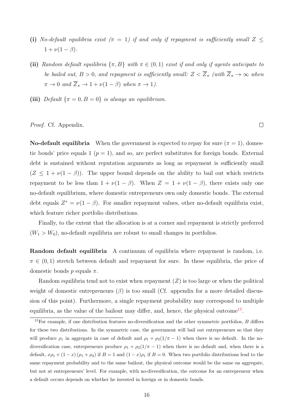- (i) No-default equilibria exist  $(\pi = 1)$  if and only if repayment is sufficiently small  $Z \leq$  $1 + \nu(1 - \beta)$ .
- (ii) Random default equilibria  $\{\pi, B\}$  with  $\pi \in (0, 1)$  exist if and only if agents anticipate to be bailed out,  $B > 0$ , and repayment is sufficiently small:  $Z < \overline{Z}_{\pi}$  (with  $\overline{Z}_{\pi} \to \infty$  when  $\pi \to 0$  and  $\overline{Z}_{\pi} \to 1 + \nu(1 - \beta)$  when  $\pi \to 1$ ).
- (iii) Default  $\{\pi = 0, B = 0\}$  is always an equilibrium.

#### Proof. Cf. Appendix.

**No-default equilibria** When the government is expected to repay for sure  $(\pi = 1)$ , domestic bonds' price equals 1 ( $p = 1$ ), and so, are perfect substitutes for foreign bonds. External debt is sustained without reputation arguments as long as repayment is sufficiently small  $(Z \leq 1 + \nu(1 - \beta))$ . The upper bound depends on the ability to bail out which restricts repayment to be less than  $1 + \nu(1 - \beta)$ . When  $Z = 1 + \nu(1 - \beta)$ , there exists only one no-default equilibrium, where domestic entrepreneurs own only domestic bonds. The external debt equals  $Z^* = \nu(1-\beta)$ . For smaller repayment values, other no-default equilibria exist, which feature richer portfolio distributions.

Finally, to the extent that the allocation is at a corner and repayment is strictly preferred  $(W_1 > W_0)$ , no-default equilibria are robust to small changes in portfolios.

Random default equilibria A continuum of equilibria where repayment is random, i.e.  $\pi \in (0,1)$  stretch between default and repayment for sure. In these equilibria, the price of domestic bonds p equals  $\pi$ .

Random equilibria tend not to exist when repayment  $(Z)$  is too large or when the political weight of domestic entrepreneurs ( $\beta$ ) is too small (Cf. appendix for a more detailed discussion of this point). Furthermore, a single repayment probability may correspond to multiple equilibria, as the value of the bailout may differ, and, hence, the physical outcome<sup>[15](#page-17-0)</sup>.

 $\Box$ 

<span id="page-17-0"></span> $15$ For example, if one distribution features no-diversification and the other symmetric portfolios,  $B$  differs for these two distributions. In the symmetric case, the government will bail out entrepreneurs so that they will produce  $\rho_1$  in aggregate in case of default and  $\rho_1 + \rho_2(1/\pi - 1)$  when there is no default. In the nodiversification case, entrepreneurs produce  $\rho_1 + \rho_2(1/\pi - 1)$  when there is no default and, when there is a default,  $x\rho_1 + (1-x)(\rho_1 + \rho_2)$  if  $B = 1$  and  $(1-x)\rho_1$  if  $B = 0$ . When two portfolio distributions lead to the same repayment probability and to the same bailout, the physical outcome would be the same on aggregate, but not at entrepreneurs' level. For example, with no-diversification, the outcome for an entrepreneur when a default occurs depends on whether he invested in foreign or in domestic bonds.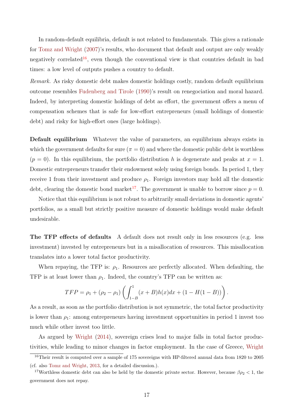In random-default equilibria, default is not related to fundamentals. This gives a rationale for [Tomz and Wright](#page-50-6) [\(2007\)](#page-50-6)'s results, who document that default and output are only weakly negatively correlated<sup>[16](#page-18-0)</sup>, even though the conventional view is that countries default in bad times: a low level of outputs pushes a country to default.

Remark. As risky domestic debt makes domestic holdings costly, random default equilibrium outcome resembles [Fudenberg and Tirole](#page-48-8) [\(1990\)](#page-48-8)'s result on renegociation and moral hazard. Indeed, by interpreting domestic holdings of debt as effort, the government offers a menu of compensation schemes that is safe for low-effort entrepreneurs (small holdings of domestic debt) and risky for high-effort ones (large holdings).

Default equilibrium Whatever the value of parameters, an equilibrium always exists in which the government defaults for sure  $(\pi = 0)$  and where the domestic public debt is worthless  $(p = 0)$ . In this equilibrium, the portfolio distribution h is degenerate and peaks at  $x = 1$ . Domestic entrepreneurs transfer their endowment solely using foreign bonds. In period 1, they receive 1 from their investment and produce  $\rho_1$ . Foreign investors may hold all the domestic debt, clearing the domestic bond market<sup>[17](#page-18-1)</sup>. The government is unable to borrow since  $p = 0$ .

Notice that this equilibrium is not robust to arbitrarily small deviations in domestic agents' portfolios, as a small but strictly positive measure of domestic holdings would make default undesirable.

The TFP effects of defaults A default does not result only in less resources (e.g. less investment) invested by entrepreneurs but in a misallocation of resources. This misallocation translates into a lower total factor productivity.

When repaying, the TFP is:  $\rho_1$ . Resources are perfectly allocated. When defaulting, the TFP is at least lower than  $\rho_1$ . Indeed, the country's TFP can be written as:

$$
TFP = \rho_1 + (\rho_2 - \rho_1) \left( \int_{1-B}^1 (x+B)h(x)dx + (1 - H(1-B)) \right).
$$

As a result, as soon as the portfolio distribution is not symmetric, the total factor productivity is lower than  $\rho_1$ : among entrepreneurs having investment opportunities in period 1 invest too much while other invest too little.

As argued by [Wright](#page-50-0) [\(2014\)](#page-50-0), sovereign crises lead to major falls in total factor productivities, while leading to minor changes in factor employment. In the case of Greece, [Wright](#page-50-0)

<span id="page-18-0"></span><sup>16</sup>Their result is computed over a sample of 175 sovereigns with HP-filtered annual data from 1820 to 2005 (cf. also [Tomz and Wright,](#page-50-7) [2013,](#page-50-7) for a detailed discussion.).

<span id="page-18-1"></span><sup>&</sup>lt;sup>17</sup>Worthless domestic debt can also be held by the domestic private sector. However, because  $\beta \rho_2 < 1$ , the government does not repay.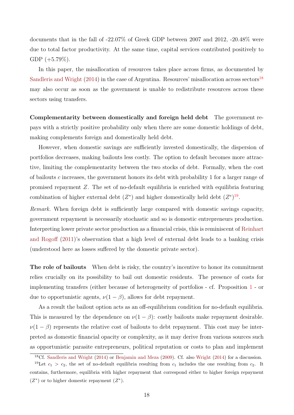documents that in the fall of -22.07% of Greek GDP between 2007 and 2012, -20.48% were due to total factor productivity. At the same time, capital services contributed positively to GDP  $(+5.79\%).$ 

In this paper, the misallocation of resources takes place across firms, as documented by [Sandleris and Wright](#page-49-0)  $(2014)$  in the case of Argentina. Resources' misallocation across sectors<sup>[18](#page-19-0)</sup> may also occur as soon as the government is unable to redistribute resources across these sectors using transfers.

Complementarity between domestically and foreign held debt The government repays with a strictly positive probability only when there are some domestic holdings of debt, making complements foreign and domestically held debt.

However, when domestic savings are sufficiently invested domestically, the dispersion of portfolios decreases, making bailouts less costly. The option to default becomes more attractive, limiting the complementarity between the two stocks of debt. Formally, when the cost of bailouts c increases, the government honors its debt with probability 1 for a larger range of promised repayment Z. The set of no-default equilibria is enriched with equilibria featuring combination of higher external debt  $(Z^*)$  and higher domestically held debt  $(Z^e)^{19}$  $(Z^e)^{19}$  $(Z^e)^{19}$ .

Remark. When foreign debt is sufficiently large compared with domestic savings capacity, government repayment is necessarily stochastic and so is domestic entrepreneurs production. Interpreting lower private sector production as a financial crisis, this is reminiscent of [Reinhart](#page-49-7) [and Rogoff](#page-49-7) [\(2011\)](#page-49-7)'s observation that a high level of external debt leads to a banking crisis (understood here as losses suffered by the domestic private sector).

The role of bailouts When debt is risky, the country's incentive to honor its commitment relies crucially on its possibility to bail out domestic residents. The presence of costs for implementing transfers (either because of heterogeneity of portfolios - cf. Proposition [1](#page-14-0) - or due to opportunistic agents,  $\nu(1-\beta)$ , allows for debt repayment.

As a result the bailout option acts as an off-equilibrium condition for no-default equilibria. This is measured by the dependence on  $\nu(1-\beta)$ : costly bailouts make repayment desirable.  $\nu(1-\beta)$  represents the relative cost of bailouts to debt repayment. This cost may be interpreted as domestic financial opacity or complexity, as it may derive from various sources such as opportunistic parasite entrepreneurs, political reputation or costs to plan and implement

<span id="page-19-1"></span><span id="page-19-0"></span><sup>18</sup>Cf. [Sandleris and Wright](#page-49-0) [\(2014\)](#page-49-0) or [Benjamin and Meza](#page-47-8) [\(2009\)](#page-47-8). Cf. also [Wright](#page-50-0) [\(2014\)](#page-50-0) for a discussion.

<sup>&</sup>lt;sup>19</sup>Let  $c_1 > c_2$ , the set of no-default equilibria resulting from  $c_1$  includes the one resulting from  $c_2$ . It contains, furthermore, equilibria with higher repayment that correspond either to higher foreign repayment  $(Z^*)$  or to higher domestic repayment  $(Z^*)$ .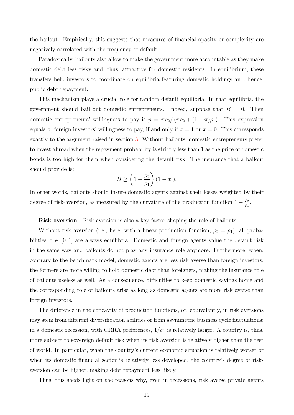the bailout. Empirically, this suggests that measures of financial opacity or complexity are negatively correlated with the frequency of default.

Paradoxically, bailouts also allow to make the government more accountable as they make domestic debt less risky and, thus, attractive for domestic residents. In equilibrium, these transfers help investors to coordinate on equilibria featuring domestic holdings and, hence, public debt repayment.

This mechanism plays a crucial role for random default equilibria. In that equilibria, the government should bail out domestic entrepreneurs. Indeed, suppose that  $B = 0$ . Then domestic entrepreneurs' willingness to pay is  $\bar{p} = \pi \rho_2 / (\pi \rho_2 + (1 - \pi) \rho_1)$ . This expression equals  $\pi$ , foreign investors' willingness to pay, if and only if  $\pi = 1$  or  $\pi = 0$ . This corresponds exactly to the argument raised in section [3.](#page-11-0) Without bailouts, domestic entrepreneurs prefer to invest abroad when the repayment probability is strictly less than 1 as the price of domestic bonds is too high for them when considering the default risk. The insurance that a bailout should provide is:

$$
B \ge \left(1 - \frac{\rho_2}{\rho_1}\right)(1 - x^i).
$$

In other words, bailouts should insure domestic agents against their losses weighted by their degree of risk-aversion, as measured by the curvature of the production function  $1 - \frac{\rho_2}{\rho_1}$  $\frac{\rho_2}{\rho_1}$ .

Risk aversion Risk aversion is also a key factor shaping the role of bailouts.

Without risk aversion (i.e., here, with a linear production function,  $\rho_2 = \rho_1$ ), all probabilities  $\pi \in [0,1]$  are always equilibria. Domestic and foreign agents value the default risk in the same way and bailouts do not play any insurance role anymore. Furthermore, when, contrary to the benchmark model, domestic agents are less risk averse than foreign investors, the formers are more willing to hold domestic debt than foreigners, making the insurance role of bailouts useless as well. As a consequence, difficulties to keep domestic savings home and the corresponding role of bailouts arise as long as domestic agents are more risk averse than foreign investors.

The difference in the concavity of production functions, or, equivalently, in risk aversions may stem from different diversification abilities or from asymmetric business cycle fluctuations: in a domestic recession, with CRRA preferences,  $1/c^{\sigma}$  is relatively larger. A country is, thus, more subject to sovereign default risk when its risk aversion is relatively higher than the rest of world. In particular, when the country's current economic situation is relatively worser or when its domestic financial sector is relatively less developed, the country's degree of riskaversion can be higher, making debt repayment less likely.

Thus, this sheds light on the reasons why, even in recessions, risk averse private agents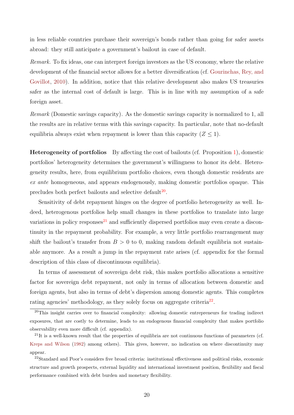in less reliable countries purchase their sovereign's bonds rather than going for safer assets abroad: they still anticipate a government's bailout in case of default.

Remark. To fix ideas, one can interpret foreign investors as the US economy, where the relative development of the financial sector allows for a better diversification (cf. [Gourinchas, Rey, and](#page-48-9) [Govillot,](#page-48-9) [2010\)](#page-48-9). In addition, notice that this relative development also makes US treasuries safer as the internal cost of default is large. This is in line with my assumption of a safe foreign asset.

Remark (Domestic savings capacity). As the domestic savings capacity is normalized to 1, all the results are in relative terms with this savings capacity. In particular, note that no-default equilibria always exist when repayment is lower than this capacity  $(Z \leq 1)$ .

Heterogeneity of portfolios By affecting the cost of bailouts (cf. Proposition [1\)](#page-14-0), domestic portfolios' heterogeneity determines the government's willingness to honor its debt. Heterogeneity results, here, from equilibrium portfolio choices, even though domestic residents are ex ante homogeneous, and appears endogenously, making domestic portfolios opaque. This precludes both perfect bailouts and selective default<sup>[20](#page-21-0)</sup>.

Sensitivity of debt repayment hinges on the degree of portfolio heterogeneity as well. Indeed, heterogenous portfolios help small changes in these portfolios to translate into large variations in policy responses<sup>[21](#page-21-1)</sup> and sufficiently dispersed portfolios may even create a discontinuity in the repayment probability. For example, a very little portfolio rearrangement may shift the bailout's transfer from  $B > 0$  to 0, making random default equilibria not sustainable anymore. As a result a jump in the repayment rate arises (cf. appendix for the formal description of this class of discontinuous equilibria).

In terms of assessment of sovereign debt risk, this makes portfolio allocations a sensitive factor for sovereign debt repayment, not only in terms of allocation between domestic and foreign agents, but also in terms of debt's dispersion among domestic agents. This completes rating agencies' methodology, as they solely focus on aggregate criteria<sup>[22](#page-21-2)</sup>.

<span id="page-21-0"></span><sup>&</sup>lt;sup>20</sup>This insight carries over to financial complexity: allowing domestic entrepreneurs for trading indirect exposures, that are costly to determine, leads to an endogenous financial complexity that makes portfolio observability even more difficult (cf. appendix).

<span id="page-21-1"></span><sup>&</sup>lt;sup>21</sup>It is a well-known result that the properties of equilibria are not continuous functions of parameters (cf. [Kreps and Wilson](#page-49-8) [\(1982\)](#page-49-8) among others). This gives, however, no indication on where discontinuity may appear.

<span id="page-21-2"></span><sup>22</sup>Standard and Poor's considers five broad criteria: institutional effectiveness and political risks, economic structure and growth prospects, external liquidity and international investment position, flexibility and fiscal performance combined with debt burden and monetary flexibility.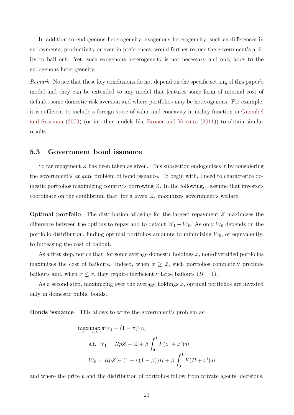In addition to endogenous heterogeneity, exogenous heterogeneity, such as differences in endowments, productivity or even in preferences, would further reduce the government's ability to bail out. Yet, such exogenous heterogeneity is not necessary and only adds to the endogenous heterogeneity.

Remark. Notice that these key conclusions do not depend on the specific setting of this paper's model and they can be extended to any model that features some form of internal cost of default, some domestic risk aversion and where portfolios may be heterogenous. For example, it is sufficient to include a foreign store of value and concavity in utility function in [Guembel](#page-48-2) [and Sussman](#page-48-2) [\(2009\)](#page-48-2) (or in other models like [Broner and Ventura](#page-47-2) [\(2011\)](#page-47-2)) to obtain similar results.

#### 5.3 Government bond issuance

So far repayment Z has been taken as given. This subsection endogenizes it by considering the government's ex ante problem of bond issuance. To begin with, I need to characterize domestic portfolios maximizing country's borrowing Z. In the following, I assume that investors coordinate on the equilibrium that, for a given Z, maximizes government's welfare.

Optimal portfolio The distribution allowing for the largest repayment Z maximizes the difference between the options to repay and to default  $W_1 - W_0$ . As only  $W_0$  depends on the portfolio distribution, finding optimal portfolios amounts to minimizing  $W_0$ , or equivalently, to increasing the cost of bailout.

As a first step, notice that, for some average domestic holdings  $x$ , non-diversified portfolios maximizes the cost of bailouts. Indeed, when  $x \geq \hat{x}$ , such portfolios completely preclude bailouts and, when  $x \leq \hat{x}$ , they require inefficiently large bailouts  $(B = 1)$ .

As a second step, maximizing over the average holdings  $x$ , optimal portfolios are invested only in domestic public bonds.

Bonds issuance This allows to write the government's problem as:

$$
\max_{Z} \max_{\pi, B} \pi W_1 + (1 - \pi)W_0
$$
  
s.t.  $W_1 = RpZ - Z + \beta \int_0^1 F(z^i + x^i)di$   

$$
W_0 = RpZ - (1 + \nu(1 - \beta))B + \beta \int_0^1 F(B + x^i)di
$$

and where the price p and the distribution of portfolios follow from private agents' decisions.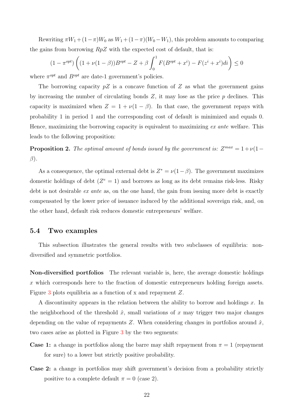Rewriting  $\pi W_1 + (1 - \pi)W_0$  as  $W_1 + (1 - \pi)(W_0 - W_1)$ , this problem amounts to comparing the gains from borrowing  $RpZ$  with the expected cost of default, that is:

$$
(1 - \pi^{opt})\left((1 + \nu(1 - \beta))B^{opt} - Z + \beta \int_0^1 F(B^{opt} + x^i) - F(z^i + x^i)di\right) \le 0
$$

where  $\pi^{opt}$  and  $B^{opt}$  are date-1 government's policies.

The borrowing capacity  $pZ$  is a concave function of Z as what the government gains by increasing the number of circulating bonds  $Z$ , it may lose as the price  $p$  declines. This capacity is maximized when  $Z = 1 + \nu(1 - \beta)$ . In that case, the government repays with probability 1 in period 1 and the corresponding cost of default is minimized and equals 0. Hence, maximizing the borrowing capacity is equivalent to maximizing ex ante welfare. This leads to the following proposition:

**Proposition 2.** The optimal amount of bonds issued by the government is:  $Z^{max} = 1 + \nu(1 - \frac{Z}{2})$  $\beta$ ).

As a consequence, the optimal external debt is  $Z^* = \nu(1-\beta)$ . The government maximizes domestic holdings of debt  $(Z^e = 1)$  and borrows as long as its debt remains risk-less. Risky debt is not desirable *ex ante* as, on the one hand, the gain from issuing more debt is exactly compensated by the lower price of issuance induced by the additional sovereign risk, and, on the other hand, default risk reduces domestic entrepreneurs' welfare.

#### 5.4 Two examples

This subsection illustrates the general results with two subclasses of equilibria: nondiversified and symmetric portfolios.

Non-diversified portfolios The relevant variable is, here, the average domestic holdings x which corresponds here to the fraction of domestic entrepreneurs holding foreign assets. Figure [3](#page-53-0) plots equilibria as a function of x and repayment Z.

A discontinuity appears in the relation between the ability to borrow and holdings x. In the neighborhood of the threshold  $\hat{x}$ , small variations of x may trigger two major changes depending on the value of repayments Z. When considering changes in portfolios around  $\hat{x}$ , two cases arise as plotted in Figure [3](#page-53-0) by the two segments:

- **Case 1:** a change in portfolios along the barre may shift repayment from  $\pi = 1$  (repayment for sure) to a lower but strictly positive probability.
- Case 2: a change in portfolios may shift government's decision from a probability strictly positive to a complete default  $\pi = 0$  (case 2).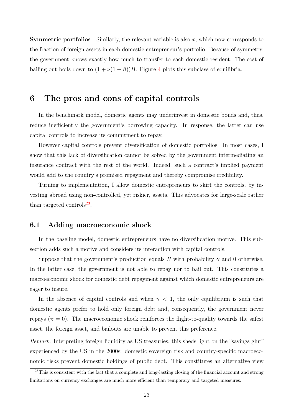**Symmetric portfolios** Similarly, the relevant variable is also x, which now corresponds to the fraction of foreign assets in each domestic entrepreneur's portfolio. Because of symmetry, the government knows exactly how much to transfer to each domestic resident. The cost of bailing out boils down to  $(1 + \nu(1 - \beta))B$ . Figure [4](#page-54-0) plots this subclass of equilibria.

### <span id="page-24-0"></span>6 The pros and cons of capital controls

In the benchmark model, domestic agents may underinvest in domestic bonds and, thus, reduce inefficiently the government's borrowing capacity. In response, the latter can use capital controls to increase its commitment to repay.

However capital controls prevent diversification of domestic portfolios. In most cases, I show that this lack of diversification cannot be solved by the government intermediating an insurance contract with the rest of the world. Indeed, such a contract's implied payment would add to the country's promised repayment and thereby compromise credibility.

Turning to implementation, I allow domestic entrepreneurs to skirt the controls, by investing abroad using non-controlled, yet riskier, assets. This advocates for large-scale rather than targeted controls $^{23}$  $^{23}$  $^{23}$ .

### 6.1 Adding macroeconomic shock

In the baseline model, domestic entrepreneurs have no diversification motive. This subsection adds such a motive and considers its interaction with capital controls.

Suppose that the government's production equals R with probability  $\gamma$  and 0 otherwise. In the latter case, the government is not able to repay nor to bail out. This constitutes a macroeconomic shock for domestic debt repayment against which domestic entrepreneurs are eager to insure.

In the absence of capital controls and when  $\gamma$  < 1, the only equilibrium is such that domestic agents prefer to hold only foreign debt and, consequently, the government never repays ( $\pi = 0$ ). The macroeconomic shock reinforces the flight-to-quality towards the safest asset, the foreign asset, and bailouts are unable to prevent this preference.

Remark. Interpreting foreign liquidity as US treasuries, this sheds light on the "savings glut" experienced by the US in the 2000s: domestic sovereign risk and country-specific macroeconomic risks prevent domestic holdings of public debt. This constitutes an alternative view

<span id="page-24-1"></span><sup>&</sup>lt;sup>23</sup>This is consistent with the fact that a complete and long-lasting closing of the financial account and strong limitations on currency exchanges are much more efficient than temporary and targeted measures.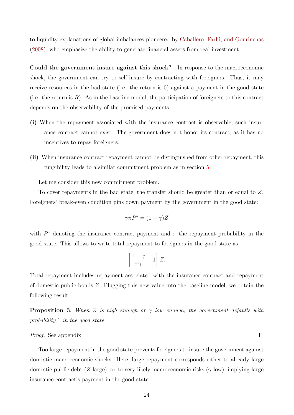to liquidity explanations of global imbalances pioneered by [Caballero, Farhi, and Gourinchas](#page-47-9) [\(2008\)](#page-47-9), who emphasize the ability to generate financial assets from real investment.

Could the government insure against this shock? In response to the macroeconomic shock, the government can try to self-insure by contracting with foreigners. Thus, it may receive resources in the bad state (i.e. the return is 0) against a payment in the good state (i.e. the return is  $R$ ). As in the baseline model, the participation of foreigners to this contract depends on the observability of the promised payments:

- (i) When the repayment associated with the insurance contract is observable, such insurance contract cannot exist. The government does not honor its contract, as it has no incentives to repay foreigners.
- (ii) When insurance contract repayment cannot be distinguished from other repayment, this fungibility leads to a similar commitment problem as in section [5.](#page-16-0)

Let me consider this new commitment problem.

To cover repayments in the bad state, the transfer should be greater than or equal to Z. Foreigners' break-even condition pins down payment by the government in the good state:

$$
\gamma \pi P^* = (1 - \gamma) Z
$$

with  $P^*$  denoting the insurance contract payment and  $\pi$  the repayment probability in the good state. This allows to write total repayment to foreigners in the good state as

$$
\left[\frac{1-\gamma}{\pi\gamma}+1\right]Z.
$$

Total repayment includes repayment associated with the insurance contract and repayment of domestic public bonds Z. Plugging this new value into the baseline model, we obtain the following result:

<span id="page-25-0"></span>**Proposition 3.** When Z is high enough or  $\gamma$  low enough, the government defaults with probability 1 in the good state.

#### Proof. See appendix.

Too large repayment in the good state prevents foreigners to insure the government against domestic macroeconomic shocks. Here, large repayment corresponds either to already large domestic public debt (Z large), or to very likely macroeconomic risks ( $\gamma$  low), implying large insurance contract's payment in the good state.

 $\Box$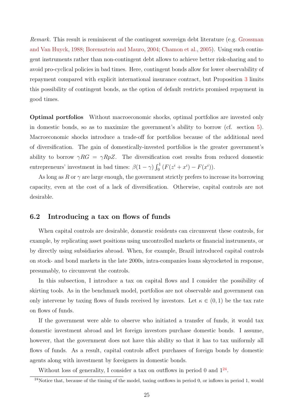Remark. This result is reminiscent of the contingent sovereign debt literature (e.g. [Grossman](#page-48-10) [and Van Huyck,](#page-48-10) [1988;](#page-48-10) [Borensztein and Mauro,](#page-47-10) [2004;](#page-47-10) [Chamon et al.,](#page-47-11) [2005\)](#page-47-11). Using such contingent instruments rather than non-contingent debt allows to achieve better risk-sharing and to avoid pro-cyclical policies in bad times. Here, contingent bonds allow for lower observability of repayment compared with explicit international insurance contract, but Proposition [3](#page-25-0) limits this possibility of contingent bonds, as the option of default restricts promised repayment in good times.

Optimal portfolios Without macroeconomic shocks, optimal portfolios are invested only in domestic bonds, so as to maximize the government's ability to borrow (cf. section [5\)](#page-16-0). Macroeconomic shocks introduce a trade-off for portfolios because of the additional need of diversification. The gain of domestically-invested portfolios is the greater government's ability to borrow  $\gamma RG = \gamma RpZ$ . The diversification cost results from reduced domestic entrepreneurs' investment in bad times:  $\beta(1-\gamma)\int_0^1 (F(z^i+x^i)-F(x^i)).$ 

As long as R or  $\gamma$  are large enough, the government strictly prefers to increase its borrowing capacity, even at the cost of a lack of diversification. Otherwise, capital controls are not desirable.

#### 6.2 Introducing a tax on flows of funds

When capital controls are desirable, domestic residents can circumvent these controls, for example, by replicating asset positions using uncontrolled markets or financial instruments, or by directly using subsidiaries abroad. When, for example, Brazil introduced capital controls on stock- and bond markets in the late 2000s, intra-companies loans skyrocketed in response, presumably, to circumvent the controls.

In this subsection, I introduce a tax on capital flows and I consider the possibility of skirting tools. As in the benchmark model, portfolios are not observable and government can only intervene by taxing flows of funds received by investors. Let  $\kappa \in (0,1)$  be the tax rate on flows of funds.

If the government were able to observe who initiated a transfer of funds, it would tax domestic investment abroad and let foreign investors purchase domestic bonds. I assume, however, that the government does not have this ability so that it has to tax uniformly all flows of funds. As a result, capital controls affect purchases of foreign bonds by domestic agents along with investment by foreigners in domestic bonds.

Without loss of generality, I consider a tax on outflows in period 0 and  $1^{24}$  $1^{24}$  $1^{24}$ .

<span id="page-26-0"></span> $\frac{24}{100}$  Notice that, because of the timing of the model, taxing outflows in period 0, or inflows in period 1, would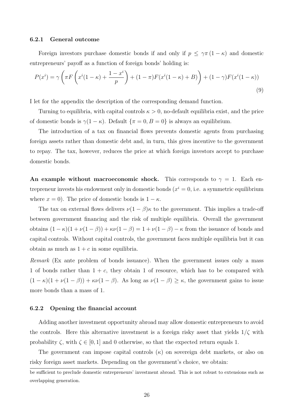#### 6.2.1 General outcome

Foreign investors purchase domestic bonds if and only if  $p \leq \gamma \pi (1 - \kappa)$  and domestic entrepreneurs' payoff as a function of foreign bonds' holding is:

$$
P(xi) = \gamma \left( \pi F \left( xi (1 - \kappa) + \frac{1 - xi}{p} \right) + (1 - \pi) F(xi (1 - \kappa) + B) \right) + (1 - \gamma) F(xi (1 - \kappa))
$$
\n(9)

I let for the appendix the description of the corresponding demand function.

Turning to equilibria, with capital controls  $\kappa > 0$ , no-default equilibria exist, and the price of domestic bonds is  $\gamma(1 - \kappa)$ . Default  $\{\pi = 0, B = 0\}$  is always an equilibrium.

The introduction of a tax on financial flows prevents domestic agents from purchasing foreign assets rather than domestic debt and, in turn, this gives incentive to the government to repay. The tax, however, reduces the price at which foreign investors accept to purchase domestic bonds.

An example without macroeconomic shock. This corresponds to  $\gamma = 1$ . Each entrepreneur invests his endowment only in domestic bonds  $(x^{i} = 0)$ , i.e. a symmetric equilibrium where  $x = 0$ ). The price of domestic bonds is  $1 - \kappa$ .

The tax on external flows delivers  $\nu(1-\beta)\kappa$  to the government. This implies a trade-off between government financing and the risk of multiple equilibria. Overall the government obtains  $(1 - \kappa)(1 + \nu(1 - \beta)) + \kappa \nu(1 - \beta) = 1 + \nu(1 - \beta) - \kappa$  from the issuance of bonds and capital controls. Without capital controls, the government faces multiple equilibria but it can obtain as much as  $1 + c$  in some equilibria.

Remark (Ex ante problem of bonds issuance). When the government issues only a mass 1 of bonds rather than  $1 + c$ , they obtain 1 of resource, which has to be compared with  $(1 - \kappa)(1 + \nu(1 - \beta)) + \kappa\nu(1 - \beta)$ . As long as  $\nu(1 - \beta) \ge \kappa$ , the government gains to issue more bonds than a mass of 1.

#### 6.2.2 Opening the financial account

Adding another investment opportunity abroad may allow domestic entrepreneurs to avoid the controls. Here this alternative investment is a foreign risky asset that yields  $1/\zeta$  with probability  $\zeta$ , with  $\zeta \in [0, 1]$  and 0 otherwise, so that the expected return equals 1.

The government can impose capital controls  $(\kappa)$  on sovereign debt markets, or also on risky foreign asset markets. Depending on the government's choice, we obtain:

be sufficient to preclude domestic entrepreneurs' investment abroad. This is not robust to extensions such as overlapping generation.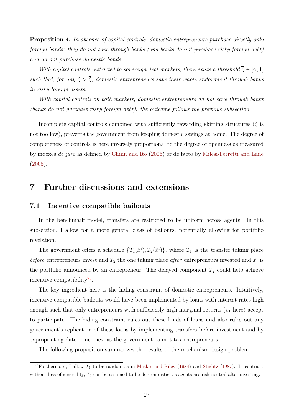Proposition 4. In absence of capital controls, domestic entrepreneurs purchase directly only foreign bonds: they do not save through banks (and banks do not purchase risky foreign debt) and do not purchase domestic bonds.

With capital controls restricted to sovereign debt markets, there exists a threshold  $\overline{\zeta} \in [\gamma, 1]$ such that, for any  $\zeta > \overline{\zeta}$ , domestic entrepreneurs save their whole endowment through banks in risky foreign assets.

With capital controls on both markets, domestic entrepreneurs do not save through banks (banks do not purchase risky foreign debt): the outcome follows the previous subsection.

Incomplete capital controls combined with sufficiently rewarding skirting structures ( $\zeta$  is not too low), prevents the government from keeping domestic savings at home. The degree of completeness of controls is here inversely proportional to the degree of openness as measured by indexes de jure as defined by [Chinn and Ito](#page-48-11) [\(2006\)](#page-48-11) or de facto by [Milesi-Ferretti and Lane](#page-49-9) [\(2005\)](#page-49-9).

## <span id="page-28-0"></span>7 Further discussions and extensions

#### 7.1 Incentive compatible bailouts

In the benchmark model, transfers are restricted to be uniform across agents. In this subsection, I allow for a more general class of bailouts, potentially allowing for portfolio revelation.

The government offers a schedule  $\{T_1(\hat{x}^i), T_2(\hat{x}^i)\}\$ , where  $T_1$  is the transfer taking place before entrepreneurs invest and  $T_2$  the one taking place after entrepreneurs invested and  $\hat{x}^i$  is the portfolio announced by an entrepreneur. The delayed component  $T_2$  could help achieve incentive compatibility<sup>[25](#page-28-1)</sup>.

The key ingredient here is the hiding constraint of domestic entrepreneurs. Intuitively, incentive compatible bailouts would have been implemented by loans with interest rates high enough such that only entrepreneurs with sufficiently high marginal returns  $(\rho_1$  here) accept to participate. The hiding constraint rules out these kinds of loans and also rules out any government's replication of these loans by implementing transfers before investment and by expropriating date-1 incomes, as the government cannot tax entrepreneurs.

The following proposition summarizes the results of the mechanism design problem:

<span id="page-28-1"></span><sup>&</sup>lt;sup>25</sup>Furthermore, I allow  $T_1$  to be random as in [Maskin and Riley](#page-49-10) [\(1984\)](#page-49-10) and [Stiglitz](#page-49-11) [\(1987\)](#page-49-11). In contrast, without loss of generality,  $T_2$  can be assumed to be deterministic, as agents are risk-neutral after investing.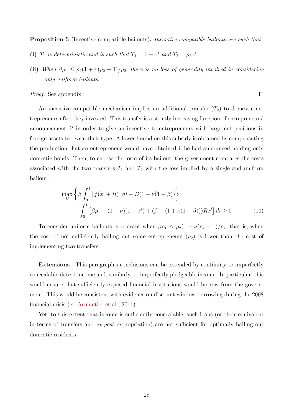<span id="page-29-0"></span>Proposition 5 (Incentive-compatible bailouts). Incentive-compatible bailouts are such that:

- (i)  $T_1$  is deterministic and is such that  $T_1 = 1 x^i$  and  $T_2 = \rho_2 x^i$ .
- (ii) When  $\beta \rho_1 \leq \rho_2(1 + \nu(\rho_2 1)/\rho_2)$ , there is no loss of generality involved in considering only uniform bailouts.

<span id="page-29-1"></span> $\Box$ 

Proof. See appendix.

An incentive-compatible mechanism implies an additional transfer  $(T_2)$  to domestic entrepreneurs after they invested. This transfer is a strictly increasing function of entrepreneurs' announcement  $\hat{x}^i$  in order to give an incentive to entrepreneurs with large net positions in foreign assets to reveal their type. A lower bound on this subsidy is obtained by compensating the production that an entrepreneur would have obtained if he had announced holding only domestic bonds. Then, to choose the form of its bailout, the government compares the costs associated with the two transfers  $T_1$  and  $T_2$  with the loss implied by a single and uniform bailout:

$$
\max_{B} \left\{ \beta \int_{0}^{1} \left[ f(x^{i} + B) \right] di - B(1 + \nu(1 - \beta)) \right\} - \int_{0}^{1} \left[ \beta \rho_{1} - (1 + \nu)(1 - x^{i}) + (\beta - (1 + \nu(1 - \beta)))Rx^{i} \right] di \ge 0
$$
 (10)

To consider uniform bailouts is relevant when  $\beta \rho_1 \leq \rho_2(1 + \nu(\rho_2 - 1)/\rho_2)$ , that is, when the cost of not sufficiently bailing out some entrepreneurs  $(\rho_2)$  is lower than the cost of implementing two transfers.

Extensions This paragraph's conclusions can be extended by continuity to imperfectly concealable date-1 income and, similarly, to imperfectly pledgeable income. In particular, this would ensure that sufficiently exposed financial institutions would borrow from the government. This would be consistent with evidence on discount window borrowing during the 2008 financial crisis (cf. [Armantier et al.,](#page-47-12) [2011\)](#page-47-12).

Yet, to this extent that income is sufficiently concealable, such loans (or their equivalent in terms of transfers and ex post expropriation) are not sufficient for optimally bailing out domestic residents.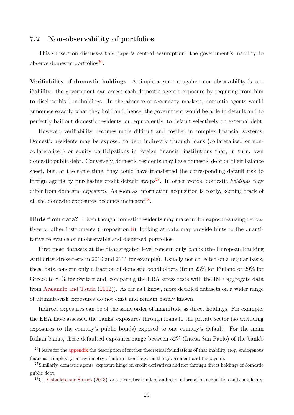### <span id="page-30-0"></span>7.2 Non-observability of portfolios

This subsection discusses this paper's central assumption: the government's inability to observe domestic portfolios<sup>[26](#page-30-1)</sup>.

Verifiability of domestic holdings A simple argument against non-observability is verifiability: the government can assess each domestic agent's exposure by requiring from him to disclose his bondholdings. In the absence of secondary markets, domestic agents would announce exactly what they hold and, hence, the government would be able to default and to perfectly bail out domestic residents, or, equivalently, to default selectively on external debt.

However, verifiability becomes more difficult and costlier in complex financial systems. Domestic residents may be exposed to debt indirectly through loans (collateralized or noncollateralized) or equity participations in foreign financial institutions that, in turn, own domestic public debt. Conversely, domestic residents may have domestic debt on their balance sheet, but, at the same time, they could have transferred the corresponding default risk to foreign agents by purchasing credit default swaps<sup>[27](#page-30-2)</sup>. In other words, domestic *holdings* may differ from domestic *exposures*. As soon as information acquisition is costly, keeping track of all the domestic exposures becomes inefficient $^{28}$  $^{28}$  $^{28}$ .

Hints from data? Even though domestic residents may make up for exposures using derivatives or other instruments (Proposition [8\)](#page-38-0), looking at data may provide hints to the quantitative relevance of unobservable and dispersed portfolios.

First most datasets at the disaggregated level concern only banks (the European Banking Authority stress-tests in 2010 and 2011 for example). Usually not collected on a regular basis, these data concern only a fraction of domestic bondholders (from 23% for Finland or 29% for Greece to 81% for Switzerland, comparing the EBA stress tests with the IMF aggregate data from [Arslanalp and Tsuda](#page-47-13) [\(2012\)](#page-47-13)). As far as I know, more detailed datasets on a wider range of ultimate-risk exposures do not exist and remain barely known.

Indirect exposures can be of the same order of magnitude as direct holdings. For example, the EBA have assessed the banks' exposures through loans to the private sector (so excluding exposures to the country's public bonds) exposed to one country's default. For the main Italian banks, these defaulted exposures range between 52% (Intesa San Paolo) of the bank's

<span id="page-30-1"></span> $^{26}$ I leave for the [appendix](#page-37-0) the description of further theoretical foundations of that inability (e.g. endogenous financial complexity or asymmetry of information between the government and taxpayers).

<span id="page-30-2"></span><sup>&</sup>lt;sup>27</sup>Similarly, domestic agents' exposure hinge on credit derivatives and not through direct holdings of domestic public debt.

<span id="page-30-3"></span><sup>28</sup>Cf. [Caballero and Simsek](#page-47-14) [\(2013\)](#page-47-14) for a theoretical understanding of information acquisition and complexity.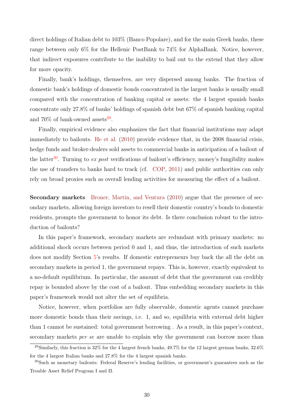direct holdings of Italian debt to 103% (Banco Popolare), and for the main Greek banks, these range between only 6% for the Hellenic PostBank to 74% for AlphaBank. Notice, however, that indirect exposures contribute to the inability to bail out to the extend that they allow for more opacity.

Finally, bank's holdings, themselves, are very dispersed among banks. The fraction of domestic bank's holdings of domestic bonds concentrated in the largest banks is usually small compared with the concentration of banking capital or assets: the 4 largest spanish banks concentrate only 27.8% of banks' holdings of spanish debt but 67% of spanish banking capital and  $70\%$  of bank-owned assets<sup>[29](#page-31-0)</sup>.

Finally, empirical evidence also emphasizes the fact that financial institutions may adapt immediately to bailouts. [He et al.](#page-48-12) [\(2010\)](#page-48-12) provide evidence that, in the 2008 financial crisis, hedge funds and broker-dealers sold assets to commercial banks in anticipation of a bailout of the latter<sup>[30](#page-31-1)</sup>. Turning to ex post verifications of bailout's efficiency, money's fungibility makes the use of transfers to banks hard to track (cf. [COP,](#page-48-13) [2011\)](#page-48-13) and public authorities can only rely on broad proxies such as overall lending activities for measuring the effect of a bailout.

Secondary markets [Broner, Martin, and Ventura](#page-47-1) [\(2010\)](#page-47-1) argue that the presence of secondary markets, allowing foreign investors to resell their domestic country's bonds to domestic residents, prompts the government to honor its debt. Is there conclusion robust to the introduction of bailouts?

In this paper's framework, secondary markets are redundant with primary markets: no additional shock occurs between period 0 and 1, and thus, the introduction of such markets does not modify Section [5'](#page-16-0)s results. If domestic entrepreneurs buy back the all the debt on secondary markets in period 1, the government repays. This is, however, exactly equivalent to a no-default equilibrium. In particular, the amount of debt that the government can credibly repay is bounded above by the cost of a bailout. Thus embedding secondary markets in this paper's framework would not alter the set of equilibria.

Notice, however, when portfolios are fully observable, domestic agents cannot purchase more domestic bonds than their savings, i.e. 1, and so, equilibria with external debt higher than 1 cannot be sustained: total government borrowing . As a result, in this paper's context, secondary markets *per se* are unable to explain why the government can borrow more than

<span id="page-31-0"></span><sup>&</sup>lt;sup>29</sup>Similarly, this fraction is 32% for the 4 largest french banks,  $49.7\%$  for the 12 largest german banks,  $32.6\%$ for the 4 largest Italian banks and 27.8% for the 4 largest spanish banks.

<span id="page-31-1"></span><sup>30</sup>Such as monetary bailouts: Federal Reserve's lending facilities, or government's guarantees such as the Trouble Asset Relief Program I and II.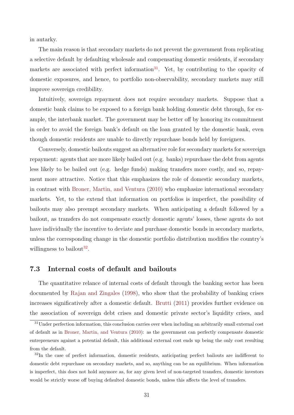in autarky.

The main reason is that secondary markets do not prevent the government from replicating a selective default by defaulting wholesale and compensating domestic residents, if secondary markets are associated with perfect information<sup>[31](#page-32-0)</sup>. Yet, by contributing to the opacity of domestic exposures, and hence, to portfolio non-observability, secondary markets may still improve sovereign credibility.

Intuitively, sovereign repayment does not require secondary markets. Suppose that a domestic bank claims to be exposed to a foreign bank holding domestic debt through, for example, the interbank market. The government may be better off by honoring its commitment in order to avoid the foreign bank's default on the loan granted by the domestic bank, even though domestic residents are unable to directly repurchase bonds held by foreigners.

Conversely, domestic bailouts suggest an alternative role for secondary markets for sovereign repayment: agents that are more likely bailed out (e.g. banks) repurchase the debt from agents less likely to be bailed out (e.g. hedge funds) making transfers more costly, and so, repayment more attractive. Notice that this emphasizes the role of domestic secondary markets, in contrast with [Broner, Martin, and Ventura](#page-47-1) [\(2010\)](#page-47-1) who emphasize international secondary markets. Yet, to the extend that information on portfolios is imperfect, the possibility of bailouts may also preempt secondary markets. When anticipating a default followed by a bailout, as transfers do not compensate exactly domestic agents' losses, these agents do not have individually the incentive to deviate and purchase domestic bonds in secondary markets, unless the corresponding change in the domestic portfolio distribution modifies the country's willingness to bailout<sup>[32](#page-32-1)</sup>.

### 7.3 Internal costs of default and bailouts

The quantitative relance of internal costs of default through the banking sector has been documented by [Rajan and Zingales](#page-49-12) [\(1998\)](#page-49-12), who show that the probability of banking crises increases significatively after a domestic default. [Brutti](#page-47-3) [\(2011\)](#page-47-3) provides further evidence on the association of sovereign debt crises and domestic private sector's liquidity crises, and

<span id="page-32-0"></span> $31$ Under perfection information, this conclusion carries over when including an arbitrarily small external cost of default as in [Broner, Martin, and Ventura](#page-47-1) [\(2010\)](#page-47-1): as the government can perfectly compensate domestic entrepreneurs against a potential default, this additional external cost ends up being the only cost resulting from the default.

<span id="page-32-1"></span><sup>&</sup>lt;sup>32</sup>In the case of perfect information, domestic residents, anticipating perfect bailouts are indifferent to domestic debt repurchase on secondary markets, and so, anything can be an equilibrium. When information is imperfect, this does not hold anymore as, for any given level of non-targeted transfers, domestic investors would be strictly worse off buying defaulted domestic bonds, unless this affects the level of transfers.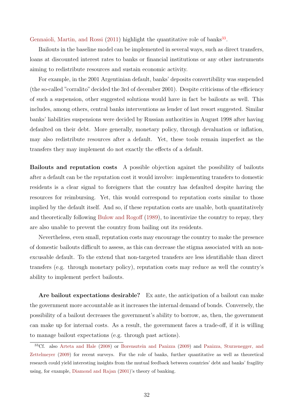[Gennaioli, Martin, and Rossi](#page-48-6)  $(2011)$  highlight the quantitative role of banks<sup>[33](#page-33-0)</sup>.

Bailouts in the baseline model can be implemented in several ways, such as direct transfers, loans at discounted interest rates to banks or financial institutions or any other instruments aiming to redistribute resources and sustain economic activity.

For example, in the 2001 Argentinian default, banks' deposits convertibility was suspended (the so-called "corralito" decided the 3rd of december 2001). Despite criticisms of the efficiency of such a suspension, other suggested solutions would have in fact be bailouts as well. This includes, among others, central banks interventions as lender of last resort suggested. Similar banks' liabilities suspensions were decided by Russian authorities in August 1998 after having defaulted on their debt. More generally, monetary policy, through devaluation or inflation, may also redistribute resources after a default. Yet, these tools remain imperfect as the transfers they may implement do not exactly the effects of a default.

Bailouts and reputation costs A possible objection against the possibility of bailouts after a default can be the reputation cost it would involve: implementing transfers to domestic residents is a clear signal to foreigners that the country has defaulted despite having the resources for reimbursing. Yet, this would correspond to reputation costs similar to those implied by the default itself. And so, if these reputation costs are unable, both quantitatively and theoretically following [Bulow and Rogoff](#page-47-0) [\(1989\)](#page-47-0), to incentivize the country to repay, they are also unable to prevent the country from bailing out its residents.

Nevertheless, even small, reputation costs may encourage the country to make the presence of domestic bailouts difficult to assess, as this can decrease the stigma associated with an nonexcusable default. To the extend that non-targeted transfers are less identifiable than direct transfers (e.g. through monetary policy), reputation costs may reduce as well the country's ability to implement perfect bailouts.

Are bailout expectations desirable? Ex ante, the anticipation of a bailout can make the government more accountable as it increases the internal demand of bonds. Conversely, the possibility of a bailout decreases the government's ability to borrow, as, then, the government can make up for internal costs. As a result, the government faces a trade-off, if it is willing to manage bailout expectations (e.g. through past actions).

<span id="page-33-0"></span><sup>33</sup>Cf. also [Arteta and Hale](#page-47-15) [\(2008\)](#page-47-15) or [Borensztein and Panizza](#page-47-16) [\(2009\)](#page-47-16) and [Panizza, Sturzenegger, and](#page-49-13) [Zettelmeyer](#page-49-13) [\(2009\)](#page-49-13) for recent surveys. For the role of banks, further quantitative as well as theoretical research could yield interesting insights from the mutual feedback between countries' debt and banks' fragility using, for example, [Diamond and Rajan](#page-48-14) [\(2001\)](#page-48-14)'s theory of banking.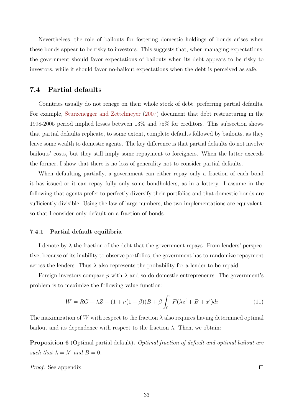Nevertheless, the role of bailouts for fostering domestic holdings of bonds arises when these bonds appear to be risky to investors. This suggests that, when managing expectations, the government should favor expectations of bailouts when its debt appears to be risky to investors, while it should favor no-bailout expectations when the debt is perceived as safe.

#### 7.4 Partial defaults

Countries usually do not renege on their whole stock of debt, preferring partial defaults. For example, [Sturzenegger and Zettelmeyer](#page-49-14) [\(2007\)](#page-49-14) document that debt restructuring in the 1998-2005 period implied losses between 13% and 75% for creditors. This subsection shows that partial defaults replicate, to some extent, complete defaults followed by bailouts, as they leave some wealth to domestic agents. The key difference is that partial defaults do not involve bailouts' costs, but they still imply some repayment to foreigners. When the latter exceeds the former, I show that there is no loss of generality not to consider partial defaults.

When defaulting partially, a government can either repay only a fraction of each bond it has issued or it can repay fully only some bondholders, as in a lottery. I assume in the following that agents prefer to perfectly diversify their portfolios and that domestic bonds are sufficiently divisible. Using the law of large numbers, the two implementations are equivalent, so that I consider only default on a fraction of bonds.

#### 7.4.1 Partial default equilibria

I denote by  $\lambda$  the fraction of the debt that the government repays. From lenders' perspective, because of its inability to observe portfolios, the government has to randomize repayment across the lenders. Thus  $\lambda$  also represents the probability for a lender to be repaid.

Foreign investors compare p with  $\lambda$  and so do domestic entrepreneurs. The government's problem is to maximize the following value function:

$$
W = RG - \lambda Z - (1 + \nu(1 - \beta))B + \beta \int_0^1 F(\lambda z^i + B + x^i)di
$$
 (11)

The maximization of W with respect to the fraction  $\lambda$  also requires having determined optimal bailout and its dependence with respect to the fraction  $\lambda$ . Then, we obtain:

<span id="page-34-0"></span>Proposition 6 (Optimal partial default). Optimal fraction of default and optimal bailout are such that  $\lambda = \lambda^e$  and  $B = 0$ .

Proof. See appendix.

 $\Box$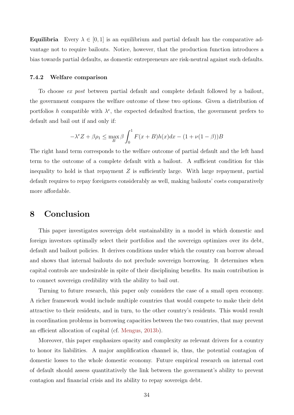**Equilibria** Every  $\lambda \in [0, 1]$  is an equilibrium and partial default has the comparative advantage not to require bailouts. Notice, however, that the production function introduces a bias towards partial defaults, as domestic entrepreneurs are risk-neutral against such defaults.

#### 7.4.2 Welfare comparison

To choose ex post between partial default and complete default followed by a bailout, the government compares the welfare outcome of these two options. Given a distribution of portfolios h compatible with  $\lambda^e$ , the expected defaulted fraction, the government prefers to default and bail out if and only if:

$$
-\lambda^e Z + \beta \rho_1 \le \max_B \beta \int_0^1 F(x+B)h(x)dx - (1+\nu(1-\beta))B
$$

The right hand term corresponds to the welfare outcome of partial default and the left hand term to the outcome of a complete default with a bailout. A sufficient condition for this inequality to hold is that repayment  $Z$  is sufficiently large. With large repayment, partial default requires to repay foreigners considerably as well, making bailouts' costs comparatively more affordable.

## 8 Conclusion

This paper investigates sovereign debt sustainability in a model in which domestic and foreign investors optimally select their portfolios and the sovereign optimizes over its debt, default and bailout policies. It derives conditions under which the country can borrow abroad and shows that internal bailouts do not preclude sovereign borrowing. It determines when capital controls are undesirable in spite of their disciplining benefits. Its main contribution is to connect sovereign credibility with the ability to bail out.

Turning to future research, this paper only considers the case of a small open economy. A richer framework would include multiple countries that would compete to make their debt attractive to their residents, and in turn, to the other country's residents. This would result in coordination problems in borrowing capacities between the two countries, that may prevent an efficient allocation of capital (cf. [Mengus,](#page-49-15) [2013b\)](#page-49-15).

Moreover, this paper emphasizes opacity and complexity as relevant drivers for a country to honor its liabilities. A major amplification channel is, thus, the potential contagion of domestic losses to the whole domestic economy. Future empirical research on internal cost of default should assess quantitatively the link between the government's ability to prevent contagion and financial crisis and its ability to repay sovereign debt.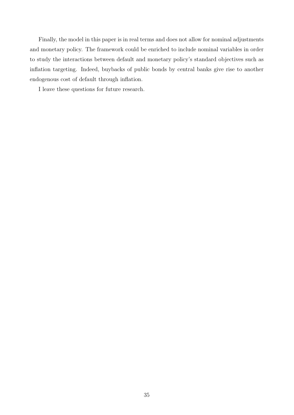Finally, the model in this paper is in real terms and does not allow for nominal adjustments and monetary policy. The framework could be enriched to include nominal variables in order to study the interactions between default and monetary policy's standard objectives such as inflation targeting. Indeed, buybacks of public bonds by central banks give rise to another endogenous cost of default through inflation.

I leave these questions for future research.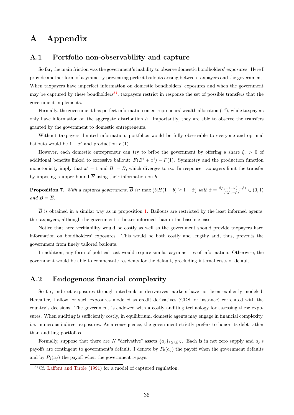## A Appendix

#### A.1 Portfolio non-observability and capture

So far, the main friction was the government's inability to observe domestic bondholders' exposures. Here I provide another form of asymmetry preventing perfect bailouts arising between taxpayers and the government. When taxpayers have imperfect information on domestic bondholders' exposures and when the government may be captured by these bondholders<sup>[34](#page-37-1)</sup>, taxpayers restrict in response the set of possible transfers that the government implements.

Formally, the government has perfect information on entrepreneurs' wealth allocation  $(x<sup>i</sup>)$ , while taxpayers only have information on the aggregate distribution  $h$ . Importantly, they are able to observe the transfers granted by the government to domestic entrepreneurs.

Without taxpayers' limited information, portfolios would be fully observable to everyone and optimal bailouts would be  $1 - x^i$  and production  $F(1)$ .

However, each domestic entrepreneur can try to bribe the government by offering a share  $\xi_i > 0$  of additional benefits linked to excessive bailout:  $F(B^i + x^i) - F(1)$ . Symmetry and the production function monotonicity imply that  $x^i = 1$  and  $B^i = B$ , which diverges to  $\infty$ . In response, taxpayers limit the transfer by imposing a upper bound  $\overline{B}$  using their information on h.

**Proposition 7.** With a captured government,  $\overline{B}$  is:  $\max \{b | H(1-b) \ge 1-\hat{x}\}\$  with  $\hat{x} = \frac{\beta \rho_1 - 1 - \nu(1-\beta)}{\beta(\rho_1 - \rho_2)}$  $\frac{(1-1-\nu(1-\beta))}{\beta(\rho_1-\rho_2)} \in (0,1)$ and  $B = \overline{B}$ .

 $\overline{B}$  is obtained in a similar way as in proposition [1.](#page-14-0) Bailouts are restricted by the least informed agents: the taxpayers, although the government is better informed than in the baseline case.

Notice that here verifiability would be costly as well as the government should provide taxpayers hard information on bondholders' exposures. This would be both costly and lengthy and, thus, prevents the government from finely tailored bailouts.

In addition, any form of political cost would require similar asymmetries of information. Otherwise, the government would be able to compensate residents for the default, precluding internal costs of default.

### <span id="page-37-0"></span>A.2 Endogenous financial complexity

So far, indirect exposures through interbank or derivatives markets have not been explicitly modeled. Hereafter, I allow for such exposures modeled as credit derivatives (CDS for instance) correlated with the country's decisions. The government is endowed with a costly auditing technology for assessing these exposures. When auditing is sufficiently costly, in equilibrium, domestic agents may engage in financial complexity, i.e. numerous indirect exposures. As a consequence, the government strictly prefers to honor its debt rather than auditing portfolios.

Formally, suppose that there are N "derivative" assets  $\{a_j\}_{1\leq i\leq N}$ . Each is in net zero supply and  $a_j$ 's payoffs are contingent to government's default. I denote by  $P_0(a_i)$  the payoff when the government defaults and by  $P_1(a_j)$  the payoff when the government repays.

<span id="page-37-1"></span> $34Cf$ . [Laffont and Tirole](#page-49-16) [\(1991\)](#page-49-16) for a model of captured regulation.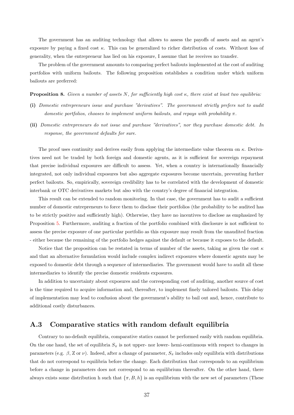The government has an auditing technology that allows to assess the payoffs of assets and an agent's exposure by paying a fixed cost  $\kappa$ . This can be generalized to richer distribution of costs. Without loss of generality, when the entrepreneur has lied on his exposure, I assume that he receives no transfer.

The problem of the government amounts to comparing perfect bailouts implemented at the cost of auditing portfolios with uniform bailouts. The following proposition establishes a condition under which uniform bailouts are preferred:

<span id="page-38-0"></span>**Proposition 8.** Given a number of assets N, for sufficiently high cost  $\kappa$ , there exist at least two equilibria:

- (i) Domestic entrepreneurs issue and purchase "derivatives". The government strictly prefers not to audit domestic portfolios, chooses to implement uniform bailouts, and repays with probability  $\pi$ .
- (ii) Domestic entrepreneurs do not issue and purchase "derivatives", nor they purchase domestic debt. In response, the government defaults for sure.

The proof uses continuity and derives easily from applying the intermediate value theorem on  $\kappa$ . Derivatives need not be traded by both foreign and domestic agents, as it is sufficient for sovereign repayment that precise individual exposures are difficult to assess. Yet, when a country is internationally financially integrated, not only individual exposures but also aggregate exposures become uncertain, preventing further perfect bailouts. So, empirically, sovereign credibility has to be correlated with the development of domestic interbank or OTC derivatives markets but also with the country's degree of financial integration.

This result can be extended to random monitoring. In that case, the government has to audit a sufficient number of domestic entrepreneurs to force them to disclose their portfolios (the probability to be audited has to be strictly positive and sufficiently high). Otherwise, they have no incentives to disclose as emphasized by Proposition [5.](#page-29-0) Furthermore, auditing a fraction of the portfolio combined with disclosure is not sufficient to assess the precise exposure of one particular portfolio as this exposure may result from the unaudited fraction - either because the remaining of the portfolio hedges against the default or because it exposes to the default.

Notice that the proposition can be restated in terms of number of the assets, taking as given the cost  $\kappa$ and that an alternative formulation would include complex indirect exposures where domestic agents may be exposed to domestic debt through a sequence of intermediaries. The government would have to audit all these intermediaries to identify the precise domestic residents exposures.

In addition to uncertainty about exposures and the corresponding cost of auditing, another source of cost is the time required to acquire information and, thereafter, to implement finely tailored bailouts. This delay of implementation may lead to confusion about the government's ability to bail out and, hence, contribute to additional costly disturbances.

#### A.3 Comparative statics with random default equilibria

Contrary to no-default equilibria, comparative statics cannot be performed easily with random equilibria. On the one hand, the set of equilibria  $S_{\pi}$  is not upper- nor lower- hemi-continuous with respect to changes in parameters (e.g.  $\beta$ , Z or  $\nu$ ). Indeed, after a change of parameter,  $S_{\pi}$  includes only equilibria with distributions that do not correspond to equilibria before the change. Each distribution that corresponds to an equilibrium before a change in parameters does not correspond to an equilibrium thereafter. On the other hand, there always exists some distribution h such that  $\{\pi, B, h\}$  is an equilibrium with the new set of parameters (These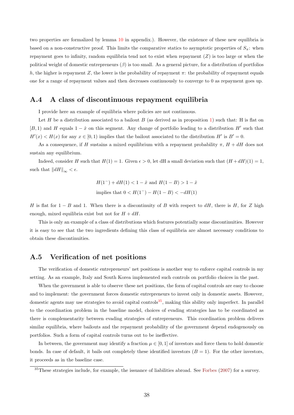two properties are formalized by lemma [10](#page-44-0) in appendix.). However, the existence of these new equilibria is based on a non-constructive proof. This limits the comparative statics to asymptotic properties of  $S_{\pi}$ : when repayment goes to infinity, random equilibria tend not to exist when repayment  $(Z)$  is too large or when the political weight of domestic entrepreneurs  $(\beta)$  is too small. As a general picture, for a distribution of portfolios h, the higher is repayment Z, the lower is the probability of repayment  $\pi$ : the probability of repayment equals one for a range of repayment values and then decreases continuously to converge to 0 as repayment goes up.

#### A.4 A class of discontinuous repayment equilibria

I provide here an example of equilibria where policies are not continuous.

Let H be a distribution associated to a bailout B (as derived as in proposition [1\)](#page-14-0) such that: H is flat on  $[B, 1)$  and H equals  $1 - \hat{x}$  on this segment. Any change of portfolio leading to a distribution H' such that  $H'(x) < H(x)$  for any  $x \in [0, 1)$  implies that the bailout associated to the distribution H' is  $B' = 0$ .

As a consequence, if H sustains a mixed equilibrium with a repayment probability  $\pi$ ,  $H + dH$  does not sustain any equilibrium.

Indeed, consider H such that  $H(1) = 1$ . Given  $\epsilon > 0$ , let dH a small deviation such that  $(H + dH)(1) = 1$ , such that  $\|dH\|_{\infty} < \epsilon$ .

$$
H(1^-) + dH(1) < 1 - \hat{x} \text{ and } H(1 - B) > 1 - \hat{x}
$$
\nimplies that  $0 < H(1^-) - H(1 - B) < -dH(1)$ 

H is flat for  $1 - B$  and 1. When there is a discontinuity of B with respect to dH, there is H, for Z high enough, mixed equilibria exist but not for  $H + dH$ .

This is only an example of a class of distributions which features potentially some discontinuities. However it is easy to see that the two ingredients defining this class of equilibria are almost necessary conditions to obtain these discontinuities.

#### A.5 Verification of net positions

The verification of domestic entrepreneurs' net positions is another way to enforce capital controls in my setting. As an example, Italy and South Korea implemented such controls on portfolio choices in the past.

When the government is able to observe these net positions, the form of capital controls are easy to choose and to implement: the government forces domestic entrepreneurs to invest only in domestic assets. However, domestic agents may use strategies to avoid capital controls<sup>[35](#page-39-0)</sup>, making this ability only imperfect. In parallel to the coordination problem in the baseline model, choices of evading strategies has to be coordinated as there is complementarity between evading strategies of entrepreneurs. This coordination problem delivers similar equilibria, where bailouts and the repayment probability of the government depend endogenously on portfolios. Such a form of capital controls turns out to be ineffective.

In between, the government may identify a fraction  $\mu \in [0, 1]$  of investors and force them to hold domestic bonds. In case of default, it bails out completely these identified investors  $(B = 1)$ . For the other investors, it proceeds as in the baseline case.

<span id="page-39-0"></span><sup>35</sup>These strategies include, for example, the issuance of liabilities abroad. See [Forbes](#page-48-15) [\(2007\)](#page-48-15) for a survey.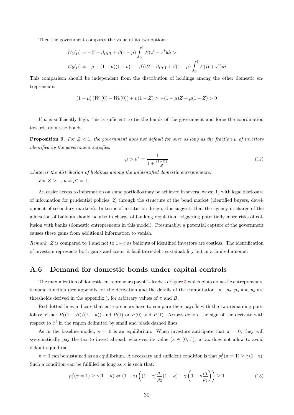Then the government compares the value of its two options:

$$
W_1(\mu) = -Z + \beta \mu \rho_1 + \beta (1 - \mu) \int_0^1 F(z^i + x^i) dt >
$$
  

$$
W_0(\mu) = -\mu - (1 - \mu)(1 + \nu(1 - \beta))B + \beta \mu \rho_1 + \beta (1 - \mu) \int_0^1 F(B + x^i) dt
$$

This comparison should be independent from the distribution of holdings among the other domestic entrepreneurs:

$$
(1 - \mu) (W_1(0) - W_0(0)) + \mu(1 - Z) > -(1 - \mu)Z + \mu(1 - Z) > 0
$$

If  $\mu$  is sufficiently high, this is sufficient to tie the hands of the government and force the coordination towards domestic bonds:

**Proposition 9.** For  $Z < 1$ , the government does not default for sure as long as the fraction  $\mu$  of investors identified by the government satisfies:

$$
\mu > \mu^* = \frac{1}{1 + \frac{(1 - Z)}{Z}}
$$
\n(12)

whatever the distribution of holdings among the unidentified domestic entrepreneurs.

For  $Z > 1$ ,  $\mu = \mu^* = 1$ .

An easier access to information on some portfolios may be achieved in several ways: 1) with legal disclosure of information for prudential policies, 2) through the structure of the bond market (identified buyers, development of secondary markets). In terms of institution design, this suggests that the agency in charge of the allocation of bailouts should be also in charge of banking regulation, triggering potentially more risks of collusion with banks (domestic entrepreneurs in this model). Presumably, a potential capture of the government causes these gains from additional information to vanish.

Remark. Z is compared to 1 and not to  $1+c$  as bailouts of identified investors are costless. The identification of investors represents both gains and costs: it facilitates debt sustainability but in a limited amount.

#### A.6 Demand for domestic bonds under capital controls

The maximization of domestic entrepreneurs payoff's leads to Figure [5](#page-55-0) which plots domestic entrepreneurs' demand function (see appendix for the derivation and the details of the computation.  $p_1$ ,  $p_2$ ,  $p_3$  and  $p_4$  are thresholds derived in the appendix.), for arbitrary values of  $\pi$  and  $B$ .

Red dotted lines indicate that entrepreneurs have to compare their payoffs with the two remaining portfolios: either  $P((1 - B)/(1 - \kappa))$  and  $P(1)$  or  $P(0)$  and  $P(1)$ . Arrows denote the sign of the derivate with respect to  $x^i$  in the region delimited by small and black dashed lines.

As in the baseline model,  $\pi = 0$  is an equilibrium. When investors anticipate that  $\pi = 0$ , they will systematically pay the tax to invest abroad, whatever its value ( $\kappa \in (0,1)$ ): a tax does not allow to avoid default equilibria.

 $\pi = 1$  can be sustained as an equilibrium. A necessary and sufficient condition is that  $p_1^S(\pi = 1) \ge \gamma(1-\kappa)$ . Such a condition can be fulfilled as long as  $\kappa$  is such that:

$$
p_1^S(\pi = 1) \ge \gamma(1 - \kappa) \Leftrightarrow (1 - \kappa) \left( (1 - \gamma) \frac{\rho_1}{\rho_2} (1 - \kappa) + \gamma \left( 1 - \kappa \frac{\rho_1}{\rho_2} \right) \right) \ge 1
$$
\n(13)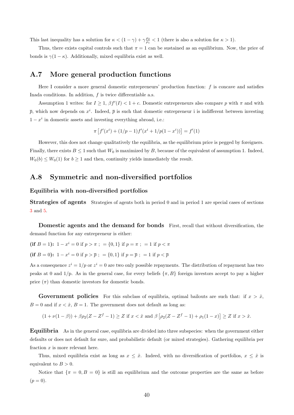This last inequality has a solution for  $\kappa < (1 - \gamma) + \gamma \frac{\rho_2}{\rho_1} < 1$  (there is also a solution for  $\kappa > 1$ ).

Thus, there exists capital controls such that  $\pi = 1$  can be sustained as an equilibrium. Now, the price of bonds is  $\gamma(1-\kappa)$ . Additionally, mixed equilibria exist as well.

### A.7 More general production functions

Here I consider a more general domestic entrepreneurs' production function:  $f$  is concave and satisfies Inada conditions. In addition,  $f$  is twice differentiable a.s.

Assumption 1 writes: for  $I \geq 1$ ,  $\beta f'(I) < 1+c$ . Domestic entrepreneurs also compare p with  $\pi$  and with  $\bar{p}$ , which now depends on  $x^i$ . Indeed,  $\bar{p}$  is such that domestic entrepreneur i is indifferent between investing  $1 - x^i$  in domestic assets and investing everything abroad, i.e.:

$$
\pi \left[ f'(x^{i}) + (1/p - 1)f'(x^{i} + 1/p(1 - x^{i})) \right] = f'(1)
$$

However, this does not change qualitatively the equilibria, as the equilibrium price is pegged by foreigners. Finally, there exists  $B \le 1$  such that  $W_0$  is maximized by B, because of the equivalent of assumption 1. Indeed,  $W_0(b) \leq W_0(1)$  for  $b \geq 1$  and then, continuity yields immediately the result.

### A.8 Symmetric and non-diversified portfolios

#### Equilibria with non-diversified portfolios

Strategies of agents Strategies of agents both in period 0 and in period 1 are special cases of sections [3](#page-11-0) and [5.](#page-16-0)

Domestic agents and the demand for bonds First, recall that without diversification, the demand function for any entrepreneur is either:

$$
(if B = 1): 1 - xi = 0 if p > \pi ; = {0,1} if p = \pi ; = 1 if p < \pi
$$

(if  $B = 0$ ):  $1 - x^i = 0$  if  $p > \overline{p}$ ;  $= \{0, 1\}$  if  $p = \overline{p}$ ;  $= 1$  if  $p < \overline{p}$ 

As a consequence  $z^i = 1/p$  or  $z^i = 0$  are two only possible repayments. The distribution of repayment has two peaks at 0 and 1/p. As in the general case, for every beliefs  $\{\pi, B\}$  foreign investors accept to pay a higher price  $(\pi)$  than domestic investors for domestic bonds.

**Government policies** For this subclass of equilibria, optimal bailouts are such that: if  $x > \hat{x}$ ,  $B = 0$  and if  $x < \hat{x}$ ,  $B = 1$ . The government does not default as long as:

$$
(1 + \nu(1 - \beta)) + \beta \rho_2 (Z - Z^f - 1) \ge Z \text{ if } x < \hat{x} \text{ and } \beta \left[ \rho_2 (Z - Z^f - 1) + \rho_1 (1 - x) \right] \ge Z \text{ if } x > \hat{x}.
$$

Equilibria As in the general case, equilibria are divided into three subspecies: when the government either defaults or does not default for sure, and probabilistic default (or mixed strategies). Gathering equilibria per fraction  $x$  is more relevant here.

Thus, mixed equilibria exist as long as  $x \leq \hat{x}$ . Indeed, with no diversification of portfolios,  $x \leq \hat{x}$  is equivalent to  $B > 0$ .

Notice that  $\{\pi = 0, B = 0\}$  is still an equilibrium and the outcome properties are the same as before  $(p = 0).$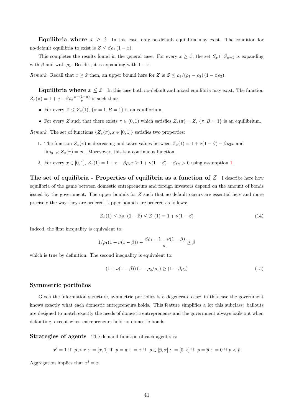**Equilibria where**  $x \geq \hat{x}$  In this case, only no-default equilibria may exist. The condition for no-default equilibria to exist is  $Z \leq \beta \rho_1 (1 - x)$ .

This completes the results found in the general case. For every  $x \geq \hat{x}$ , the set  $S_x \cap S_{\pi=1}$  is expanding with  $\beta$  and with  $\rho_1$ . Besides, it is expanding with  $1 - x$ .

Remark. Recall that  $x \geq \hat{x}$  then, an upper bound here for Z is  $Z \leq \rho_1/(\rho_1 - \rho_2)(1 - \beta \rho_2)$ .

**Equilibria where**  $x \leq \hat{x}$  In this case both no-default and mixed equilibria may exist. The function  $Z_x(\pi) = 1 + c - \beta \rho_2 \frac{x - (1 - \pi)}{\pi}$  $\frac{1-\pi}{\pi}$  is such that:

- For every  $Z \leq Z_x(1)$ ,  $\{\pi = 1, B = 1\}$  is an equilibrium.
- For every Z such that there exists  $\pi \in (0,1)$  which satisfies  $Z_x(\pi) = Z$ ,  $\{\pi, B = 1\}$  is an equilibrium.

Remark. The set of functions  $\{Z_x(\pi), x \in [0,1]\}$  satisfies two properties:

- 1. The function  $Z_x(\pi)$  is decreasing and takes values between  $Z_x(1) = 1 + \nu(1 \beta) \beta \rho_2 x$  and  $\lim_{\pi\to 0} Z_x(\pi) = \infty$ . Morevover, this is a continuous function.
- 2. For every  $x \in [0,1], Z_x(1) = 1 + c \beta \rho_2 x \ge 1 + \nu(1-\beta) \beta \rho_2 > 0$  using assumption [1.](#page-11-1)

The set of equilibria - Properties of equilibria as a function of  $Z$  I describe here how equilibria of the game between domestic entrepreneurs and foreign investors depend on the amount of bonds issued by the government. The upper bounds for Z such that no default occurs are essential here and more precisely the way they are ordered. Upper bounds are ordered as follows:

$$
Z_{\hat{x}}(1) \le \beta \rho_1 (1 - \hat{x}) \le Z_1(1) = 1 + \nu(1 - \beta) \tag{14}
$$

Indeed, the first inequality is equivalent to:

$$
1/\rho_1(1+\nu(1-\beta))+\frac{\beta\rho_1-1-\nu(1-\beta)}{\rho_1}\geq\beta
$$

which is true by definition. The second inequality is equivalent to:

$$
(1 + \nu(1 - \beta))(1 - \rho_2/\rho_1) \ge (1 - \beta \rho_2)
$$
\n(15)

#### Symmetric portfolios

Given the information structure, symmetric portfolios is a degenerate case: in this case the government knows exactly what each domestic entrepreneurs holds. This feature simplifies a lot this subclass: bailouts are designed to match exactly the needs of domestic entrepreneurs and the government always bails out when defaulting, except when entrepreneurs hold no domestic bonds.

**Strategies of agents** The demand function of each agent  $i$  is:

$$
x^i = 1
$$
 if  $p > \pi$ ; = [x, 1] if  $p = \pi$ ; = x if  $p \in [\overline{p}, \pi]$ ; = [0, x] if  $p = \overline{p}$ ; = 0 if  $p < \overline{p}$ 

Aggregation implies that  $x^i = x$ .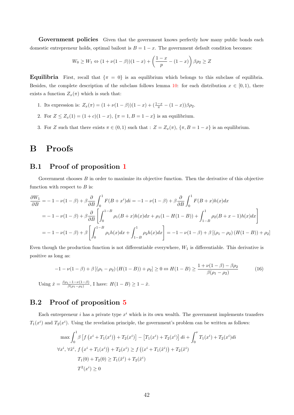Government policies Given that the government knows perfectly how many public bonds each domestic entrepreneur holds, optimal bailout is  $B = 1 - x$ . The government default condition becomes:

$$
W_0 \ge W_1 \Leftrightarrow (1 + \nu(1 - \beta))(1 - x) + \left(\frac{1 - x}{p} - (1 - x)\right)\beta \rho_2 \ge Z
$$

**Equilibria** First, recall that  $\{\pi = 0\}$  is an equilibrium which belongs to this subclass of equilibria. Besides, the complete description of the subclass follows lemma [10:](#page-44-0) for each distribution  $x \in [0,1)$ , there exists a function  $Z_x(\pi)$  which is such that:

- 1. Its expression is:  $Z_x(\pi) = (1 + \nu(1 \beta))(1 x) + (\frac{1 x}{\pi} (1 x))\beta \rho_2$ .
- 2. For  $Z \leq Z_x(1) = (1+c)(1-x)$ ,  $\{\pi = 1, B = 1-x\}$  is an equilibrium.
- 3. For Z such that there exists  $\pi \in (0,1)$  such that :  $Z = Z_x(\pi)$ ,  $\{\pi, B = 1 x\}$  is an equilibrium.

## B Proofs

### B.1 Proof of proposition [1](#page-14-0)

Government chooses  $B$  in order to maximize its objective function. Then the derivative of this objective function with respect to  $B$  is:

$$
\frac{\partial W_1}{\partial B} = -1 - \nu(1 - \beta) + \beta \frac{\partial}{\partial B} \int_0^1 F(B + x^i) dt = -1 - \nu(1 - \beta) + \beta \frac{\partial}{\partial B} \int_0^1 F(B + x)h(x) dx
$$
  
= -1 - \nu(1 - \beta) + \beta \frac{\partial}{\partial B} \left[ \int\_0^{1 - B} \rho\_1(B + x)h(x) dx + \rho\_1(1 - H(1 - B)) + \int\_{1 - B}^1 \rho\_2(B + x - 1)h(x) dx \right]  
= -1 - \nu(1 - \beta) + \beta \left[ \int\_0^{1 - B} \rho\_1 h(x) dx + \int\_{1 - B}^1 \rho\_2 h(x) dx \right] = -1 - \nu(1 - \beta) + \beta \left[ (\rho\_1 - \rho\_2) (H(1 - B)) + \rho\_2 \right]

Even though the production function is not differentiable everywhere,  $W_1$  is differentiable. This derivative is positive as long as:

$$
-1 - \nu(1 - \beta) + \beta [(\rho_1 - \rho_2) (H(1 - B)) + \rho_2] \ge 0 \Leftrightarrow H(1 - B) \ge \frac{1 + \nu(1 - \beta) - \beta \rho_2}{\beta(\rho_1 - \rho_2)}
$$
(16)  
Using  $\hat{x} = \frac{\beta \rho_1 - 1 - \nu(1 - \beta)}{\beta(\rho_1 - \rho_2)}$ , I have:  $H(1 - B) \ge 1 - \hat{x}$ .

## B.2 Proof of proposition [5](#page-29-0)

Each entrepreneur *i* has a private type  $x^i$  which is its own wealth. The government implements transfers  $T_1(x^i)$  and  $T_2(x^i)$ . Using the revelation principle, the government's problem can be written as follows:

$$
\max \int_0^1 \beta \left[ f(x^i + T_1(x^i)) + T_2(x^i) \right] - \left[ T_1(x^i) + T_2(x^i) \right] di + \int_0^{\nu} T_1(x^i) + T_2(x^i) di
$$
  

$$
\forall x^i, \forall \tilde{x}^i, f(x^i + T_1(x^i)) + T_2(x^i) \ge f((x^i + T_1(\tilde{x}^i)) + T_2(\tilde{x}^i))
$$
  

$$
T_1(0) + T_2(0) \ge T_1(\tilde{x}^i) + T_2(\tilde{x}^i)
$$
  

$$
T^2(x^i) \ge 0
$$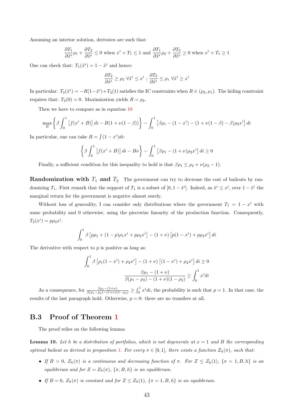Assuming an interior solution, derivates are such that:

$$
\frac{\partial T_1}{\partial \tilde{x}^i} \rho_1 + \frac{\partial T_2}{\partial \tilde{x}^i} \le 0 \text{ when } x^i + T_1 \le 1 \text{ and } \frac{\partial T_1}{\partial \tilde{x}^i} \rho_2 + \frac{\partial T_2}{\partial \tilde{x}^i} \ge 0 \text{ when } x^i + T_1 \ge 1
$$

One can check that:  $T_1(\tilde{x}^i) = 1 - \tilde{x}^i$  and hence:

$$
\frac{\partial T_2}{\partial \tilde{x}^i} \geq \rho_2 \; \forall \tilde{x}^i \leq x^i \; ; \; \frac{\partial T_2}{\partial \tilde{x}^i} \leq \rho_1 \; \forall \tilde{x}^i \geq x^i
$$

In particular:  $T_2(\tilde{x}^i) = -R(1-\tilde{x}^i) + T_2(1)$  satisfies the IC constraints when  $R \in (\rho_2, \rho_1)$ . The hiding constraint requires that:  $T_2(0) = 0$ . Maximization yields  $R = \rho_2$ .

Then we have to compare as in equation [10](#page-29-1)

$$
\max_{B} \left\{ \beta \int_0^1 \left[ f(x^i + B) \right] dt - B(1 + \nu(1 - \beta)) \right\} - \int_0^1 \left[ \beta \rho_1 - (1 - x^i) - (1 + \nu(1 - \beta) - \beta) \rho_2 x^i \right] dt
$$

In particular, one can take  $B = \int (1 - x^i)di$ :

$$
\left\{\beta \int_0^1 \left[f(x^i+B)\right]di - B\nu\right\} - \int_0^1 \left[\beta \rho_1 - (1+\nu)\rho_2 x^i\right]di \ge 0
$$

Finally, a sufficient condition for this inequality to hold is that  $\beta \rho_1 \leq \rho_2 + \nu(\rho_2 - 1)$ .

**Randomization with**  $T_1$  and  $T_2$  The government can try to decrease the cost of bailouts by randomizing  $T_1$ . First remark that the support of  $T_1$  is a subset of  $[0, 1 - \tilde{x}^i]$ . Indeed, as  $\tilde{x}^i \leq x^i$ , over  $1 - \tilde{x}^i$  the marginal return for the government is negative almost surely.

Without loss of generality, I can consider only distributions where the government  $T_1 = 1 - x^i$  with some probability and 0 otherwise, using the piecewise linearity of the production function. Consequently,  $T_2(x^i) = p \rho_2 x^i$ .

$$
\int_0^1 \beta \left[ p\rho_1 + (1-p)\rho_1 x^i + p\rho_2 x^i \right] - (1+\nu) \left[ p(1-x^i) + p\rho_2 x^i \right] di
$$

The derivative with respect to  $p$  is positive as long as:

$$
\int_0^1 \beta \left[ \rho_1 (1 - x^i) + \rho_2 x^i \right] - (1 + \nu) \left[ (1 - x^i) + \rho_2 x^i \right] dt \ge 0
$$

$$
\frac{\beta \rho_1 - (1 + \nu)}{\beta(\rho_1 - \rho_2) - (1 + \nu)(1 - \rho_2)} \ge \int_0^1 x^i dt
$$

As a consequence, for  $\frac{\beta \rho_1 - (1+\nu)}{\beta(\rho_1 - \rho_2) - (1+\nu)(1-\rho_2)} \geq \int_0^1 x^i dt$ , the probability is such that  $p = 1$ . In that case, the results of the last paragraph hold. Otherwise,  $p = 0$ : there are no transfers at all.

#### B.3 Proof of Theorem [1](#page-16-1)

The proof relies on the following lemma:

<span id="page-44-0"></span>**Lemma 10.** Let h be a distribution of portfolios, which is not degenerate at  $x = 1$  and B the corresponding optimal bailout as derived in proposition [1.](#page-14-0) For every  $\pi \in [0,1]$ , there exists a function  $Z_h(\pi)$ , such that:

- If  $B > 0$ ,  $Z_h(\pi)$  is a continuous and decreasing function of  $\pi$ . For  $Z \leq Z_h(1)$ ,  $\{\pi = 1, B, h\}$  is an equilibrium and for  $Z = Z_h(\pi)$ ,  $\{\pi, B, h\}$  is an equilibrium.
- If  $B = 0$ ,  $Z_h(\pi)$  is constant and for  $Z \leq Z_h(1)$ ,  $\{\pi = 1, B, h\}$  is an equilibrium.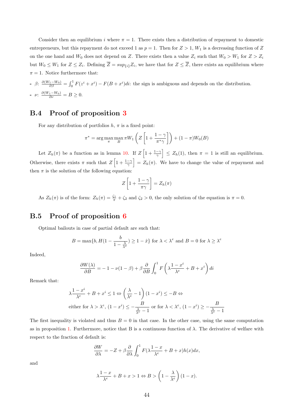Consider then an equilibrium i where  $\pi = 1$ . There exists then a distribution of repayment to domestic entrepreneurs, but this repayment do not exceed 1 as  $p = 1$ . Then for  $Z > 1$ ,  $W_1$  is a decreasing function of Z on the one hand and  $W_0$  does not depend on Z. There exists then a value  $Z_i$  such that  $W_0 > W_1$  for  $Z > Z_i$ but  $W_0 \leq W_1$  for  $Z \leq Z_i$ . Defining  $Z = \sup_{\{i\}} Z_i$ , we have that for  $Z \leq Z$ , there exists an equilibrium where  $\pi = 1$ . Notice furthermore that:

- 
$$
\beta
$$
:  $\frac{\partial (W_1 - W_0)}{\partial \beta} = \int_0^1 F(z^i + x^i) - F(B + x^i)di$ : the sign is ambiguous and depends on the distribution.  
-  $\nu$ :  $\frac{\partial (W_1 - W_0)}{\partial \nu} = B \ge 0$ .

### B.4 Proof of proposition [3](#page-25-0)

For any distribution of portfolios  $h, \pi$  is a fixed point:

$$
\pi^* = \arg\max_{\pi} \max_{B} \pi W_1 \left( Z \left[ 1 + \frac{1 - \gamma}{\pi^* \gamma} \right] \right) + (1 - \pi) W_0(B)
$$

Let  $Z_h(\pi)$  be a function as in lemma [10.](#page-44-0) If  $Z\left[1+\frac{1-\gamma}{\gamma}\right] \leq Z_h(1)$ , then  $\pi = 1$  is still an equilibrium. Otherwise, there exists  $\pi$  such that  $Z\left[1+\frac{1-\gamma}{\gamma}\right]=Z_h(\pi)$ . We have to change the value of repayment and then  $\pi$  is the solution of the following equation:

$$
Z\left[1+\frac{1-\gamma}{\pi\gamma}\right] = Z_h(\pi)
$$

As  $Z_h(\pi)$  is of the form:  $Z_h(\pi) = \frac{\zeta_1}{\pi} + \zeta_2$  and  $\zeta_2 > 0$ , the only solution of the equation is  $\pi = 0$ .

### B.5 Proof of proposition [6](#page-34-0)

Optimal bailouts in case of partial default are such that:

$$
B=\max\{b,H(1-\frac{b}{1-\frac{\lambda}{\lambda^{e}}})\geq 1-\hat{x}\} \text{ for } \lambda<\lambda^{e} \text{ and } B=0 \text{ for } \lambda\geq \lambda^{e}
$$

Indeed,

$$
\frac{\partial W(\lambda)}{\partial B} = -1 - \nu(1 - \beta) + \beta \frac{\partial}{\partial B} \int_0^1 F\left(\lambda \frac{1 - x^i}{\lambda^e} + B + x^i\right) dt
$$

Remark that:

$$
\lambda \frac{1 - x^i}{\lambda^e} + B + x^i \le 1 \Leftrightarrow \left(\frac{\lambda}{\lambda^e} - 1\right) (1 - x^i) \le -B \Leftrightarrow
$$
  
either for  $\lambda > \lambda^e$ ,  $(1 - x^i) \le -\frac{B}{\frac{\lambda}{\lambda^e} - 1}$  or for  $\lambda < \lambda^e$ ,  $(1 - x^i) \ge -\frac{B}{\frac{\lambda}{\lambda^e} - 1}$ 

The first inequality is violated and thus  $B = 0$  in that case. In the other case, using the same computation as in proposition [1.](#page-14-0) Furthermore, notice that B is a continuous function of  $\lambda$ . The derivative of welfare with respect to the fraction of default is:

$$
\frac{\partial W}{\partial \lambda} = -Z + \beta \frac{\partial}{\partial \lambda} \int_0^1 F(\lambda \frac{1-x}{\lambda^e} + B + x) h(x) dx,
$$

and

$$
\lambda \frac{1-x}{\lambda^e} + B + x > 1 \Leftrightarrow B > \left(1 - \frac{\lambda}{\lambda^e}\right)(1 - x).
$$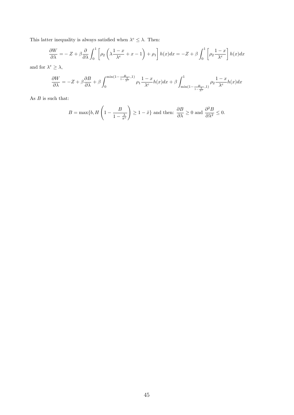This latter inequality is always satisfied when  $\lambda^e \leq \lambda$ . Then:

$$
\frac{\partial W}{\partial \lambda} = -Z + \beta \frac{\partial}{\partial \lambda} \int_0^1 \left[ \rho_2 \left( \lambda \frac{1-x}{\lambda^e} + x - 1 \right) + \rho_1 \right] h(x) dx = -Z + \beta \int_0^1 \left[ \rho_2 \frac{1-x}{\lambda^e} \right] h(x) dx
$$

and for  $\lambda^e \geq \lambda$ ,

$$
\frac{\partial W}{\partial \lambda} = -Z + \beta \frac{\partial B}{\partial \lambda} + \beta \int_0^{\min(1 - \frac{B}{1 - \lambda^e}, 1)} \rho_1 \frac{1 - x}{\lambda^e} h(x) dx + \beta \int_{\min(1 - \frac{B}{1 - \lambda^e}, 1)}^1 \rho_2 \frac{1 - x}{\lambda^e} h(x) dx
$$

As  ${\cal B}$  is such that:

$$
B = \max\{b, H\left(1 - \frac{B}{1 - \frac{\lambda}{\pi^e}}\right) \ge 1 - \hat{x}\} \text{ and then: } \frac{\partial B}{\partial \lambda} \ge 0 \text{ and } \frac{\partial^2 B}{\partial \lambda^2} \le 0.
$$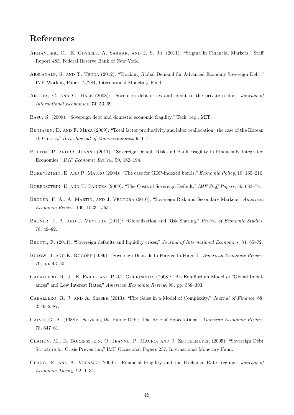# References

- <span id="page-47-12"></span>Armantier, O., E. Ghysels, A. Sarkar, and J. S. Jr. (2011): "Stigma in Financial Markets," Staff Report 483, Federal Reserve Bank of New York.
- <span id="page-47-13"></span>ARSLANALP, S. AND T. TSUDA (2012): "Tracking Global Demand for Advanced Economy Sovereign Debt," IMF Working Paper 12/284, International Monetary Fund.
- <span id="page-47-15"></span>ARTETA, C. AND G. HALE (2008): "Sovereign debt crises and credit to the private sector," Journal of International Economics, 74, 53–69.
- <span id="page-47-4"></span>Basu, S. (2009): "Sovereign debt and domestic economic fragility," Tech. rep., MIT.
- <span id="page-47-8"></span>Benjamin, D. and F. Meza (2009): "Total factor productivity and labor reallocation: the case of the Korean 1997 crisis," B.E. Journal of Macroeconomics, 9, 1–41.
- <span id="page-47-5"></span>Bolton, P. and O. Jeanne (2011): "Sovereign Default Risk and Bank Fragility in Financially Integrated Economies," IMF Economic Review, 59, 162–194.
- <span id="page-47-10"></span>BORENSZTEIN, E. AND P. MAURO (2004): "The case for GDP-indexed bonds," *Economic Policy*, 19, 165–216.
- <span id="page-47-16"></span>Borensztein, E. and U. Panizza (2009): "The Costs of Sovereign Default," IMF Staff Papers, 56, 683–741.
- <span id="page-47-1"></span>Broner, F. A., A. Martin, and J. Ventura (2010): "Sovereign Risk and Secondary Markets," American Economic Review, 100, 1523–1555.
- <span id="page-47-2"></span>BRONER, F. A. AND J. VENTURA (2011): "Globalization and Risk Sharing," Review of Economic Studies, 78, 49–82.
- <span id="page-47-3"></span>BRUTTI, F. (2011): "Sovereign defaults and liquidity crises," *Journal of International Economics*, 84, 65–72.
- <span id="page-47-0"></span>BULOW, J. AND K. ROGOFF (1989): "Sovereign Debt: Is to Forgive to Forget?" American Economic Review, 79, pp. 43–50.
- <span id="page-47-9"></span>Caballero, R. J., E. Farhi, and P.-O. Gourinchas (2008): "An Equilibrium Model of "Global Imbalances" and Low Interest Rates," American Economic Review, 98, pp. 358–393.
- <span id="page-47-14"></span>Caballero, R. J. and A. Simsek (2013): "Fire Sales in a Model of Complexity," Journal of Finance, 68, 2549–2587.
- <span id="page-47-6"></span>Calvo, G. A. (1988): "Servicing the Public Debt: The Role of Expectations," American Economic Review, 78, 647–61.
- <span id="page-47-11"></span>Chamon, M., E. Borensztein, O. Jeanne, P. Mauro, and J. Zettelmeyer (2005): "Sovereign Debt Structure for Crisis Prevention," IMF Occasional Papers 237, International Monetary Fund.
- <span id="page-47-7"></span>Chang, R. and A. Velasco (2000): "Financial Fragility and the Exchange Rate Regime," Journal of Economic Theory, 92, 1–34.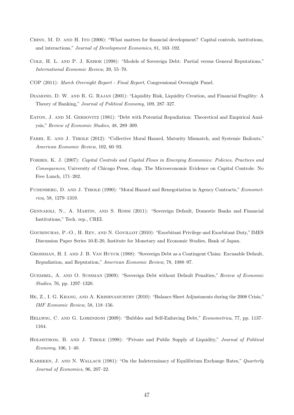- <span id="page-48-11"></span>Chinn, M. D. and H. Ito (2006): "What matters for financial development? Capital controls, institutions, and interactions," Journal of Development Economics, 81, 163–192.
- <span id="page-48-3"></span>Cole, H. L. and P. J. Kehoe (1998): "Models of Sovereign Debt: Partial versus General Reputations," International Economic Review, 39, 55–70.
- <span id="page-48-13"></span>COP (2011): March Oversight Report - Final Report, Congressional Oversight Panel.
- <span id="page-48-14"></span>Diamond, D. W. and R. G. Rajan (2001): "Liquidity Risk, Liquidity Creation, and Financial Fragility: A Theory of Banking," Journal of Political Economy, 109, 287–327.
- <span id="page-48-0"></span>Eaton, J. and M. Gersovitz (1981): "Debt with Potential Repudiation: Theoretical and Empirical Analysis," Review of Economic Studies, 48, 289–309.
- <span id="page-48-4"></span>FARHI, E. AND J. TIROLE (2012): "Collective Moral Hazard, Maturity Mismatch, and Systemic Bailouts," American Economic Review, 102, 60–93.
- <span id="page-48-15"></span>Forbes, K. J. (2007): Capital Controls and Capital Flows in Emerging Economies: Policies, Practices and Consequences, University of Chicago Press, chap. The Microeconomic Evidence on Capital Controls: No Free Lunch, 171–202.
- <span id="page-48-8"></span>FUDENBERG, D. AND J. TIROLE (1990): "Moral Hazard and Renegotiation in Agency Contracts," Econometrica, 58, 1279–1319.
- <span id="page-48-6"></span>Gennaioli, N., A. Martin, and S. Rossi (2011): "Sovereign Default, Domestic Banks and Financial Institutions," Tech. rep., CREI.
- <span id="page-48-9"></span>Gourinchas, P.-O., H. Rey, and N. Govillot (2010): "Exorbitant Privilege and Exorbitant Duty," IMES Discussion Paper Series 10-E-20, Institute for Monetary and Economic Studies, Bank of Japan.
- <span id="page-48-10"></span>Grossman, H. I. and J. B. Van Huyck (1988): "Sovereign Debt as a Contingent Claim: Excusable Default, Repudiation, and Reputation," American Economic Review, 78, 1088–97.
- <span id="page-48-2"></span>Guembel, A. and O. Sussman (2009): "Sovereign Debt without Default Penalties," Review of Economic Studies, 76, pp. 1297–1320.
- <span id="page-48-12"></span>He, Z., I. G. Khang, and A. Krishnamurthy (2010): "Balance Sheet Adjustments during the 2008 Crisis," IMF Economic Review, 58, 118–156.
- <span id="page-48-1"></span>HELLWIG, C. AND G. LORENZONI (2009): "Bubbles and Self-Enforcing Debt," *Econometrica*, 77, pp. 1137– 1164.
- <span id="page-48-5"></span>Holmstrom, B. and J. Tirole (1998): "Private and Public Supply of Liquidity," Journal of Political Economy, 106, 1–40.
- <span id="page-48-7"></span>KAREKEN, J. AND N. WALLACE (1981): "On the Indeterminacy of Equilibrium Exchange Rates," Quarterly Journal of Economics, 96, 207–22.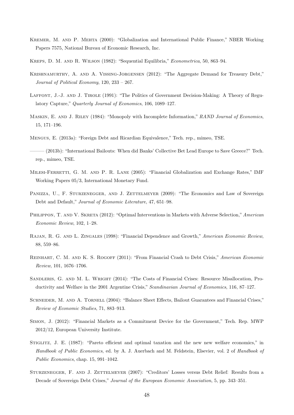- <span id="page-49-6"></span>Kremer, M. and P. Mehta (2000): "Globalization and International Public Finance," NBER Working Papers 7575, National Bureau of Economic Research, Inc.
- <span id="page-49-8"></span>Kreps, D. M. and R. Wilson (1982): "Sequential Equilibria," Econometrica, 50, 863–94.
- <span id="page-49-5"></span>Krishnamurthy, A. and A. Vissing-Jorgensen (2012): "The Aggregate Demand for Treasury Debt," Journal of Political Economy, 120, 233 – 267.
- <span id="page-49-16"></span>Laffont, J.-J. and J. Tirole (1991): "The Politics of Government Decision-Making: A Theory of Regulatory Capture," Quarterly Journal of Economics, 106, 1089–127.
- <span id="page-49-10"></span>MASKIN, E. AND J. RILEY (1984): "Monopoly with Incomplete Information," RAND Journal of Economics, 15, 171–196.
- <span id="page-49-2"></span>Mengus, E. (2013a): "Foreign Debt and Ricardian Equivalence," Tech. rep., mimeo, TSE.
- <span id="page-49-15"></span>——— (2013b): "International Bailouts: When did Banks' Collective Bet Lead Europe to Save Greece?" Tech. rep., mimeo, TSE.
- <span id="page-49-9"></span>MILESI-FERRETTI, G. M. AND P. R. LANE (2005): "Financial Globalization and Exchange Rates," IMF Working Papers 05/3, International Monetary Fund.
- <span id="page-49-13"></span>PANIZZA, U., F. STURZENEGGER, AND J. ZETTELMEYER (2009): "The Economics and Law of Sovereign Debt and Default," Journal of Economic Literature, 47, 651–98.
- <span id="page-49-3"></span>PHILIPPON, T. AND V. SKRETA (2012): "Optimal Interventions in Markets with Adverse Selection," American Economic Review, 102, 1–28.
- <span id="page-49-12"></span>Rajan, R. G. and L. Zingales (1998): "Financial Dependence and Growth," American Economic Review, 88, 559–86.
- <span id="page-49-7"></span>Reinhart, C. M. and K. S. Rogoff (2011): "From Financial Crash to Debt Crisis," American Economic Review, 101, 1676–1706.
- <span id="page-49-0"></span>Sandleris, G. and M. L. Wright (2014): "The Costs of Financial Crises: Resource Misallocation, Productivity and Welfare in the 2001 Argentine Crisis," Scandinavian Journal of Economics, 116, 87–127.
- <span id="page-49-1"></span>SCHNEIDER, M. AND A. TORNELL (2004): "Balance Sheet Effects, Bailout Guarantees and Financial Crises," Review of Economic Studies, 71, 883–913.
- <span id="page-49-4"></span>Simon, J. (2012): "Financial Markets as a Commitment Device for the Government," Tech. Rep. MWP 2012/12, European University Institute.
- <span id="page-49-11"></span>STIGLITZ, J. E. (1987): "Pareto efficient and optimal taxation and the new new welfare economics," in Handbook of Public Economics, ed. by A. J. Auerbach and M. Feldstein, Elsevier, vol. 2 of Handbook of Public Economics, chap. 15, 991–1042.
- <span id="page-49-14"></span>STURZENEGGER, F. AND J. ZETTELMEYER (2007): "Creditors' Losses versus Debt Relief: Results from a Decade of Sovereign Debt Crises," Journal of the European Economic Association, 5, pp. 343–351.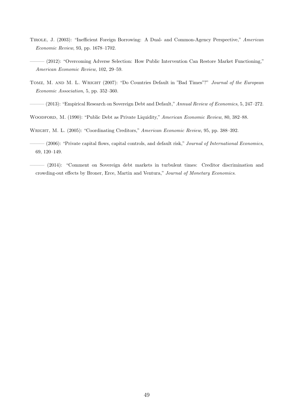- <span id="page-50-4"></span>Tirole, J. (2003): "Inefficient Foreign Borrowing: A Dual- and Common-Agency Perspective," American Economic Review, 93, pp. 1678–1702.
- <span id="page-50-1"></span>——— (2012): "Overcoming Adverse Selection: How Public Intervention Can Restore Market Functioning," American Economic Review, 102, 29–59.
- <span id="page-50-6"></span>TOMZ, M. AND M. L. WRIGHT (2007): "Do Countries Default in "Bad Times"?" Journal of the European Economic Association, 5, pp. 352–360.
- <span id="page-50-7"></span> $-(2013)$ : "Empirical Research on Sovereign Debt and Default," Annual Review of Economics, 5, 247-272.
- <span id="page-50-2"></span>WOODFORD, M. (1990): "Public Debt as Private Liquidity," American Economic Review, 80, 382–88.
- <span id="page-50-3"></span>Wright, M. L. (2005): "Coordinating Creditors," American Economic Review, 95, pp. 388–392.
- <span id="page-50-5"></span> $-(2006)$ : "Private capital flows, capital controls, and default risk," Journal of International Economics, 69, 120–149.
- <span id="page-50-0"></span>——— (2014): "Comment on Sovereign debt markets in turbulent times: Creditor discrimination and crowding-out effects by Broner, Erce, Martin and Ventura," Journal of Monetary Economics.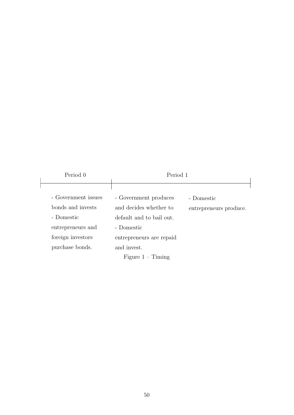<span id="page-51-0"></span>

| Period 0            | Period 1                 |                        |
|---------------------|--------------------------|------------------------|
|                     |                          |                        |
| - Government issues | - Government produces    | - Domestic             |
| bonds and invests   | and decides whether to   | entrepreneurs produce. |
| - Domestic          | default and to bail out. |                        |
| entrepreneurs and   | - Domestic               |                        |
| foreign investors   | entrepreneurs are repaid |                        |
| purchase bonds.     | and invest.              |                        |
|                     | Figure $1 -$ Timing      |                        |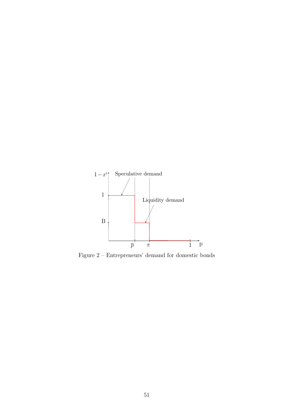<span id="page-52-0"></span>

Figure 2 – Entrepreneurs' demand for domestic bonds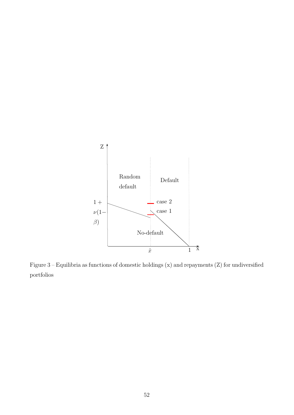<span id="page-53-0"></span>

Figure 3 – Equilibria as functions of domestic holdings (x) and repayments (Z) for undiversified portfolios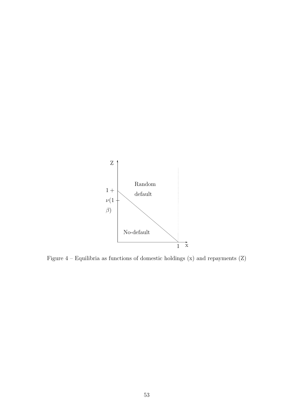<span id="page-54-0"></span>

Figure  $4$  – Equilibria as functions of domestic holdings  $(\mathrm{x})$  and repayments  $(\mathrm{Z})$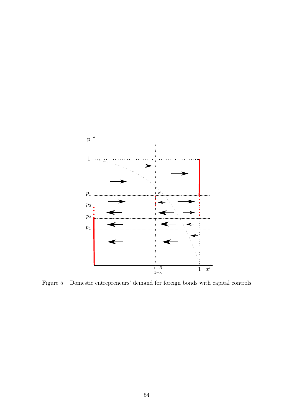<span id="page-55-0"></span>

Figure 5 – Domestic entrepreneurs' demand for foreign bonds with capital controls